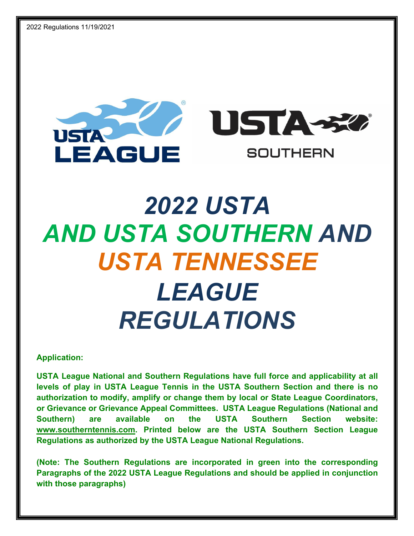

# *2022 USTA AND USTA SOUTHERN AND USTA TENNESSEE LEAGUE REGULATIONS*

**Application:**

**USTA League National and Southern Regulations have full force and applicability at all levels of play in USTA League Tennis in the USTA Southern Section and there is no authorization to modify, amplify or change them by local or State League Coordinators, or Grievance or Grievance Appeal Committees. USTA League Regulations (National and Southern) are available on the USTA Southern Section website: [www.southerntennis.com.](http://www.southerntennis.com/) Printed below are the USTA Southern Section League Regulations as authorized by the USTA League National Regulations.**

**(Note: The Southern Regulations are incorporated in green into the corresponding Paragraphs of the 2022 USTA League Regulations and should be applied in conjunction with those paragraphs)**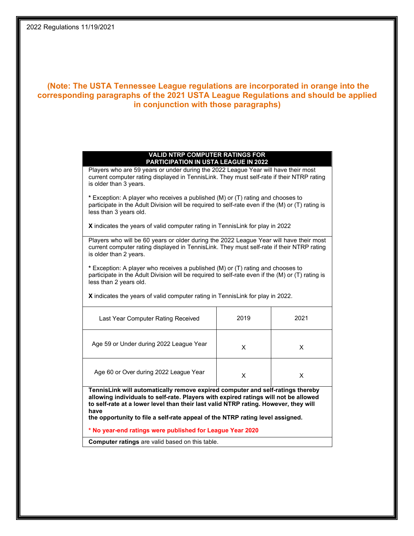### **(Note: The USTA Tennessee League regulations are incorporated in orange into the corresponding paragraphs of the 2021 USTA League Regulations and should be applied in conjunction with those paragraphs)**

#### **VALID NTRP COMPUTER RATINGS FOR PARTICIPATION IN USTA LEAGUE IN 2022**

Players who are 59 years or under during the 2022 League Year will have their most current computer rating displayed in TennisLink. They must self-rate if their NTRP rating is older than 3 years.

**\*** Exception: A player who receives a published (M) or (T) rating and chooses to participate in the Adult Division will be required to self-rate even if the (M) or (T) rating is less than 3 years old.

**X** indicates the years of valid computer rating in TennisLink for play in 2022

Players who will be 60 years or older during the 2022 League Year will have their most current computer rating displayed in TennisLink. They must self-rate if their NTRP rating is older than 2 years.

**\*** Exception: A player who receives a published (M) or (T) rating and chooses to participate in the Adult Division will be required to self-rate even if the (M) or (T) rating is less than 2 years old.

**X** indicates the years of valid computer rating in TennisLink for play in 2022.

| Last Year Computer Rating Received      | 2019 | 2021 |
|-----------------------------------------|------|------|
| Age 59 or Under during 2022 League Year |      |      |
| Age 60 or Over during 2022 League Year  |      |      |

**TennisLink will automatically remove expired computer and self-ratings thereby allowing individuals to self-rate. Players with expired ratings will not be allowed to self-rate at a lower level than their last valid NTRP rating. However, they will have**

**the opportunity to file a self-rate appeal of the NTRP rating level assigned.**

**\* No year-end ratings were published for League Year 2020**

**Computer ratings** are valid based on this table.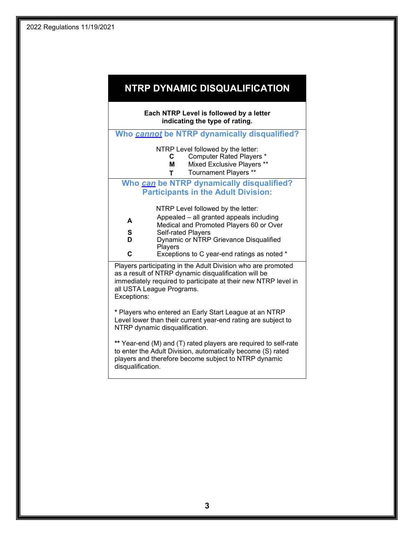## **NTRP DYNAMIC DISQUALIFICATION**

#### **Each NTRP Level is followed by a letter indicating the type of rating.**

|                                                                                                                                                                                                                                    |                                                                                                                                                                                                             | Who cannot be NTRP dynamically disqualified?                                                                                          |  |  |
|------------------------------------------------------------------------------------------------------------------------------------------------------------------------------------------------------------------------------------|-------------------------------------------------------------------------------------------------------------------------------------------------------------------------------------------------------------|---------------------------------------------------------------------------------------------------------------------------------------|--|--|
|                                                                                                                                                                                                                                    |                                                                                                                                                                                                             | NTRP Level followed by the letter:<br>Computer Rated Players *<br>C.<br>Mixed Exclusive Players **<br>М<br>Tournament Players **<br>т |  |  |
|                                                                                                                                                                                                                                    |                                                                                                                                                                                                             | Who can be NTRP dynamically disqualified?                                                                                             |  |  |
|                                                                                                                                                                                                                                    |                                                                                                                                                                                                             | <b>Participants in the Adult Division:</b>                                                                                            |  |  |
|                                                                                                                                                                                                                                    |                                                                                                                                                                                                             | NTRP Level followed by the letter:<br>Appealed - all granted appeals including                                                        |  |  |
|                                                                                                                                                                                                                                    | A                                                                                                                                                                                                           | Medical and Promoted Players 60 or Over                                                                                               |  |  |
|                                                                                                                                                                                                                                    | S                                                                                                                                                                                                           | <b>Self-rated Players</b>                                                                                                             |  |  |
|                                                                                                                                                                                                                                    | D                                                                                                                                                                                                           | Dynamic or NTRP Grievance Disqualified                                                                                                |  |  |
|                                                                                                                                                                                                                                    | C                                                                                                                                                                                                           | Players<br>Exceptions to C year-end ratings as noted *                                                                                |  |  |
| Players participating in the Adult Division who are promoted<br>as a result of NTRP dynamic disqualification will be<br>immediately required to participate at their new NTRP level in<br>all USTA League Programs.<br>Exceptions: |                                                                                                                                                                                                             |                                                                                                                                       |  |  |
|                                                                                                                                                                                                                                    | * Players who entered an Early Start League at an NTRP<br>Level lower than their current year-end rating are subject to<br>NTRP dynamic disqualification.                                                   |                                                                                                                                       |  |  |
|                                                                                                                                                                                                                                    | ** Year-end (M) and (T) rated players are required to self-rate<br>to enter the Adult Division, automatically become (S) rated<br>players and therefore become subject to NTRP dynamic<br>disqualification. |                                                                                                                                       |  |  |

**3**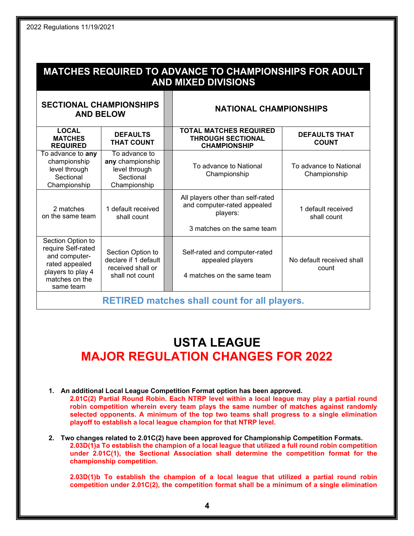| MATCHES REQUIRED TO ADVANCE TO CHAMPIONSHIPS FOR ADULT<br><b>AND MIXED DIVISIONS</b>                                           |                                                                                   |  |                                                                                                            |                                        |
|--------------------------------------------------------------------------------------------------------------------------------|-----------------------------------------------------------------------------------|--|------------------------------------------------------------------------------------------------------------|----------------------------------------|
| <b>SECTIONAL CHAMPIONSHIPS</b><br><b>AND BELOW</b>                                                                             |                                                                                   |  | <b>NATIONAL CHAMPIONSHIPS</b>                                                                              |                                        |
| <b>LOCAL</b><br><b>MATCHES</b><br><b>REQUIRED</b>                                                                              | <b>DEFAULTS</b><br><b>THAT COUNT</b>                                              |  | <b>TOTAL MATCHES REQUIRED</b><br><b>THROUGH SECTIONAL</b><br><b>CHAMPIONSHIP</b>                           | <b>DEFAULTS THAT</b><br><b>COUNT</b>   |
| To advance to any<br>championship<br>level through<br>Sectional<br>Championship                                                | To advance to<br>any championship<br>level through<br>Sectional<br>Championship   |  | To advance to National<br>Championship                                                                     | To advance to National<br>Championship |
| 2 matches<br>on the same team                                                                                                  | 1 default received<br>shall count                                                 |  | All players other than self-rated<br>and computer-rated appealed<br>players:<br>3 matches on the same team | 1 default received<br>shall count      |
| Section Option to<br>require Self-rated<br>and computer-<br>rated appealed<br>players to play 4<br>matches on the<br>same team | Section Option to<br>declare if 1 default<br>received shall or<br>shall not count |  | Self-rated and computer-rated<br>appealed players<br>4 matches on the same team                            | No default received shall<br>count     |
| <b>RETIRED matches shall count for all players.</b>                                                                            |                                                                                   |  |                                                                                                            |                                        |

## **MATCHES REQUIRED TO ADVANCE TO CHAMPIONSHIPS FOR ADULT**

## **USTA LEAGUE MAJOR REGULATION CHANGES FOR 2022**

- **1. An additional Local League Competition Format option has been approved. 2.01C(2) Partial Round Robin. Each NTRP level within a local league may play a partial round robin competition wherein every team plays the same number of matches against randomly selected opponents. A minimum of the top two teams shall progress to a single elimination playoff to establish a local league champion for that NTRP level.**
- **2. Two changes related to 2.01C(2) have been approved for Championship Competition Formats. 2.03D(1)a To establish the champion of a local league that utilized a full round robin competition under 2.01C(1), the Sectional Association shall determine the competition format for the championship competition.**

**2.03D(1)b To establish the champion of a local league that utilized a partial round robin competition under 2.01C(2), the competition format shall be a minimum of a single elimination**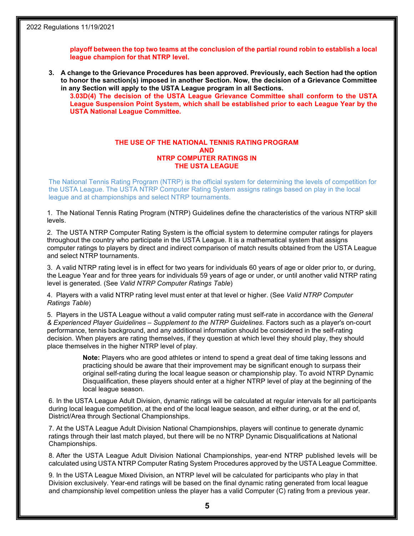**playoff between the top two teams at the conclusion of the partial round robin to establish a local league champion for that NTRP level.**

**3. A change to the Grievance Procedures has been approved. Previously, each Section had the option to honor the sanction(s) imposed in another Section. Now, the decision of a Grievance Committee in any Section will apply to the USTA League program in all Sections.** 

**3.03D(4) The decision of the USTA League Grievance Committee shall conform to the USTA League Suspension Point System, which shall be established prior to each League Year by the USTA National League Committee.**

#### **THE USE OF THE NATIONAL TENNIS RATING PROGRAM AND NTRP COMPUTER RATINGS IN THE USTA LEAGUE**

The National Tennis Rating Program (NTRP) is the official system for determining the levels of competition for the USTA League. The USTA NTRP Computer Rating System assigns ratings based on play in the local league and at championships and select NTRP tournaments.

1. The National Tennis Rating Program (NTRP) Guidelines define the characteristics of the various NTRP skill levels.

2. The USTA NTRP Computer Rating System is the official system to determine computer ratings for players throughout the country who participate in the USTA League. It is a mathematical system that assigns computer ratings to players by direct and indirect comparison of match results obtained from the USTA League and select NTRP tournaments.

3. A valid NTRP rating level is in effect for two years for individuals 60 years of age or older prior to, or during, the League Year and for three years for individuals 59 years of age or under, or until another valid NTRP rating level is generated. (See *Valid NTRP Computer Ratings Table*)

4. Players with a valid NTRP rating level must enter at that level or higher. (See *Valid NTRP Computer Ratings Table*)

5. Players in the USTA League without a valid computer rating must self-rate in accordance with the *General & Experienced Player Guidelines – Supplement to the NTRP Guidelines*. Factors such as a player's on-court performance, tennis background, and any additional information should be considered in the self-rating decision. When players are rating themselves, if they question at which level they should play, they should place themselves in the higher NTRP level of play.

> **Note:** Players who are good athletes or intend to spend a great deal of time taking lessons and practicing should be aware that their improvement may be significant enough to surpass their original self-rating during the local league season or championship play. To avoid NTRP Dynamic Disqualification, these players should enter at a higher NTRP level of play at the beginning of the local league season.

6. In the USTA League Adult Division, dynamic ratings will be calculated at regular intervals for all participants during local league competition, at the end of the local league season, and either during, or at the end of, District/Area through Sectional Championships.

7. At the USTA League Adult Division National Championships, players will continue to generate dynamic ratings through their last match played, but there will be no NTRP Dynamic Disqualifications at National Championships.

8. After the USTA League Adult Division National Championships, year-end NTRP published levels will be calculated using USTA NTRP Computer Rating System Procedures approved by the USTA League Committee.

9. In the USTA League Mixed Division, an NTRP level will be calculated for participants who play in that Division exclusively. Year-end ratings will be based on the final dynamic rating generated from local league and championship level competition unless the player has a valid Computer (C) rating from a previous year.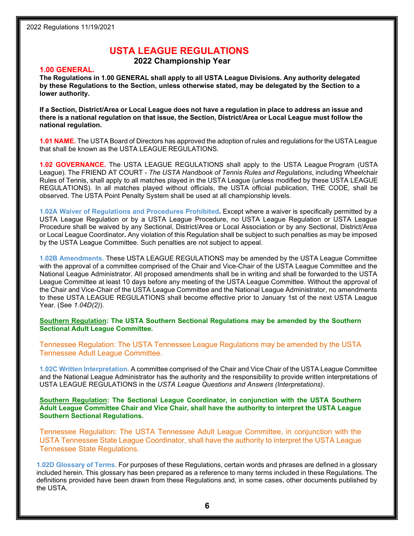### **USTA LEAGUE REGULATIONS**

**2022 Championship Year**

#### **1.00 GENERAL.**

**The Regulations in 1.00 GENERAL shall apply to all USTA League Divisions. Any authority delegated by these Regulations to the Section, unless otherwise stated, may be delegated by the Section to a lower authority.**

**If a Section, District/Area or Local League does not have a regulation in place to address an issue and there is a national regulation on that issue, the Section, District/Area or Local League must follow the national regulation.**

**1.01 NAME.** The USTA Board of Directors has approved the adoption of rules and regulations for the USTA League that shall be known as the USTA LEAGUE REGULATIONS.

**1.02 GOVERNANCE.** The USTA LEAGUE REGULATIONS shall apply to the USTA League Program (USTA League). The FRIEND AT COURT *- The USTA Handbook of Tennis Rules and Regulations*, including Wheelchair Rules of Tennis, shall apply to all matches played in the USTA League (unless modified by these USTA LEAGUE REGULATIONS). In all matches played without officials, the USTA official publication, THE CODE*,* shall be observed. The USTA Point Penalty System shall be used at all championship levels.

**1.02A Waiver of Regulations and Procedures Prohibited.** Except where a waiver is specifically permitted by a USTA League Regulation or by a USTA League Procedure, no USTA League Regulation or USTA League Procedure shall be waived by any Sectional, District/Area or Local Association or by any Sectional, District/Area or Local League Coordinator**.** Any violation of this Regulation shall be subject to such penalties as may be imposed by the USTA League Committee. Such penalties are not subject to appeal.

**1.02B Amendments.** These USTA LEAGUE REGULATIONS may be amended by the USTA League Committee with the approval of a committee comprised of the Chair and Vice-Chair of the USTA League Committee and the National League Administrator. All proposed amendments shall be in writing and shall be forwarded to the USTA League Committee at least 10 days before any meeting of the USTA League Committee. Without the approval of the Chair and Vice-Chair of the USTA League Committee and the National League Administrator, no amendments to these USTA LEAGUE REGULATIONS shall become effective prior to January 1st of the next USTA League Year. (See *1.04D(2)*).

**Southern Regulation: The USTA Southern Sectional Regulations may be amended by the Southern Sectional Adult League Committee.**

Tennessee Regulation: The USTA Tennessee League Regulations may be amended by the USTA Tennessee Adult League Committee.

**1.02C Written Interpretation.** A committee comprised of the Chair and Vice Chair of the USTA League Committee and the National League Administrator has the authority and the responsibility to provide written interpretations of USTA LEAGUE REGULATIONS in the *USTA League Questions and Answers (Interpretations)*.

**Southern Regulation: The Sectional League Coordinator, in conjunction with the USTA Southern Adult League Committee Chair and Vice Chair, shall have the authority to interpret the USTA League Southern Sectional Regulations.**

Tennessee Regulation: The USTA Tennessee Adult League Committee, in conjunction with the USTA Tennessee State League Coordinator, shall have the authority to interpret the USTA League Tennessee State Regulations.

**1.02D Glossary of Terms.** For purposes of these Regulations, certain words and phrases are defined in a glossary included herein. This glossary has been prepared as a reference to many terms included in these Regulations. The definitions provided have been drawn from these Regulations and, in some cases, other documents published by the USTA.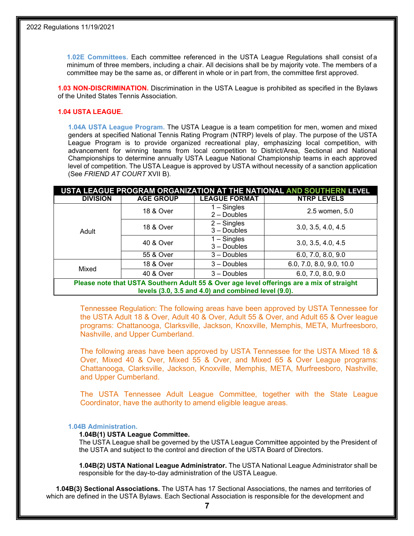**1.02E Committees.** Each committee referenced in the USTA League Regulations shall consist of a minimum of three members, including a chair. All decisions shall be by majority vote. The members of a committee may be the same as, or different in whole or in part from, the committee first approved.

**1.03 NON-DISCRIMINATION.** Discrimination in the USTA League is prohibited as specified in the Bylaws of the United States Tennis Association.

#### **1.04 USTA LEAGUE.**

**1.04A USTA League Program.** The USTA League is a team competition for men, women and mixed genders at specified National Tennis Rating Program (NTRP) levels of play. The purpose of the USTA League Program is to provide organized recreational play, emphasizing local competition, with advancement for winning teams from local competition to District/Area, Sectional and National Championships to determine annually USTA League National Championship teams in each approved level of competition. The USTA League is approved by USTA without necessity of a sanction application (See *FRIEND AT COURT* XVII B).

| USTA LEAGUE PROGRAM ORGANIZATION AT THE NATIONAL AND SOUTHERN LEVEL                      |                  |                                |                          |  |
|------------------------------------------------------------------------------------------|------------------|--------------------------------|--------------------------|--|
| <b>DIVISION</b>                                                                          | <b>AGE GROUP</b> | <b>LEAGUE FORMAT</b>           | <b>NTRP LEVELS</b>       |  |
|                                                                                          | 18 & Over        | $1 -$ Singles<br>$2 -$ Doubles | 2.5 women, 5.0           |  |
| Adult                                                                                    | 18 & Over        | $2 -$ Singles<br>$3 -$ Doubles | 3.0, 3.5, 4.0, 4.5       |  |
|                                                                                          | 40 & Over        | $1 -$ Singles<br>$3 -$ Doubles | 3.0, 3.5, 4.0, 4.5       |  |
|                                                                                          | 55 & Over        | $3 -$ Doubles                  | 6.0, 7.0, 8.0, 9.0       |  |
| Mixed                                                                                    | 18 & Over        | $3 -$ Doubles                  | 6.0, 7.0, 8.0, 9.0, 10.0 |  |
|                                                                                          | 40 & Over        | $3 -$ Doubles                  | 6.0, 7.0, 8.0, 9.0       |  |
| Please note that USTA Southern Adult 55 & Over age level offerings are a mix of straight |                  |                                |                          |  |

**levels (3.0, 3.5 and 4.0) and combined level (9.0).**

Tennessee Regulation: The following areas have been approved by USTA Tennessee for the USTA Adult 18 & Over, Adult 40 & Over, Adult 55 & Over, and Adult 65 & Over league programs: Chattanooga, Clarksville, Jackson, Knoxville, Memphis, META, Murfreesboro, Nashville, and Upper Cumberland.

The following areas have been approved by USTA Tennessee for the USTA Mixed 18 & Over, Mixed 40 & Over, Mixed 55 & Over, and Mixed 65 & Over League programs: Chattanooga, Clarksville, Jackson, Knoxville, Memphis, META, Murfreesboro, Nashville, and Upper Cumberland.

The USTA Tennessee Adult League Committee, together with the State League Coordinator, have the authority to amend eligible league areas.

#### **1.04B Administration.**

#### **1.04B(1) USTA League Committee.**

The USTA League shall be governed by the USTA League Committee appointed by the President of the USTA and subject to the control and direction of the USTA Board of Directors.

**1.04B(2) USTA National League Administrator.** The USTA National League Administrator shall be responsible for the day-to-day administration of the USTA League.

**1.04B(3) Sectional Associations.** The USTA has 17 Sectional Associations, the names and territories of which are defined in the USTA Bylaws. Each Sectional Association is responsible for the development and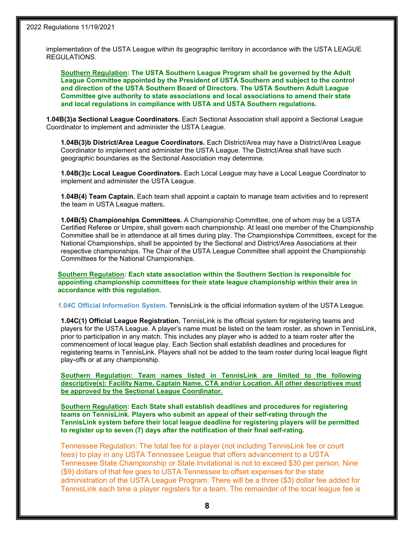implementation of the USTA League within its geographic territory in accordance with the USTA LEAGUE REGULATIONS.

**Southern Regulation: The USTA Southern League Program shall be governed by the Adult League Committee appointed by the President of USTA Southern and subject to the control and direction of the USTA Southern Board of Directors. The USTA Southern Adult League Committee give authority to state associations and local associations to amend their state and local regulations in compliance with USTA and USTA Southern regulations.** 

**1.04B(3)a Sectional League Coordinators.** Each Sectional Association shall appoint a Sectional League Coordinator to implement and administer the USTA League.

**1.04B(3)b District/Area League Coordinators.** Each District/Area may have a District/Area League Coordinator to implement and administer the USTA League. The District/Area shall have such geographic boundaries as the Sectional Association may determine.

**1.04B(3)c Local League Coordinators.** Each Local League may have a Local League Coordinator to implement and administer the USTA League.

**1.04B(4) Team Captain.** Each team shall appoint a captain to manage team activities and to represent the team in USTA League matters**.**

**1.04B(5) Championships Committees.** A Championship Committee, one of whom may be a USTA Certified Referee or Umpire, shall govern each championship. At least one member of the Championship Committee shall be in attendance at all times during play. The Championships Committees, except for the National Championships, shall be appointed by the Sectional and District/Area Associations at their respective championships. The Chair of the USTA League Committee shall appoint the Championship Committees for the National Championships.

**Southern Regulation: Each state association within the Southern Section is responsible for appointing championship committees for their state league championship within their area in accordance with this regulation.**

**1.04C Official Information System.** TennisLink is the official information system of the USTA League.

**1.04C(1) Official League Registration.** TennisLink is the official system for registering teams and players for the USTA League. A player's name must be listed on the team roster, as shown in TennisLink, prior to participation in any match. This includes any player who is added to a team roster after the commencement of local league play. Each Section shall establish deadlines and procedures for registering teams in TennisLink. Players shall not be added to the team roster during local league flight play-offs or at any championship.

**Southern Regulation: Team names listed in TennisLink are limited to the following descriptive(s): Facility Name, Captain Name, CTA and/or Location. All other descriptives must be approved by the Sectional League Coordinator.**

**Southern Regulation: Each State shall establish deadlines and procedures for registering teams on TennisLink. Players who submit an appeal of their self-rating through the TennisLink system before their local league deadline for registering players will be permitted to register up to seven (7) days after the notification of their final self-rating.**

Tennessee Regulation: The total fee for a player (not including TennisLink fee or court fees) to play in any USTA Tennessee League that offers advancement to a USTA Tennessee State Championship or State Invitational is not to exceed \$30 per person. Nine (\$9) dollars of that fee goes to USTA Tennessee to offset expenses for the state administration of the USTA League Program. There will be a three (\$3) dollar fee added for TennisLink each time a player registers for a team. The remainder of the local league fee is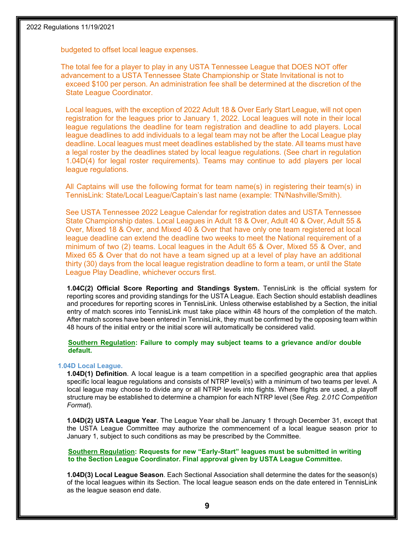budgeted to offset local league expenses.

The total fee for a player to play in any USTA Tennessee League that DOES NOT offer advancement to a USTA Tennessee State Championship or State Invitational is not to exceed \$100 per person. An administration fee shall be determined at the discretion of the State League Coordinator.

Local leagues, with the exception of 2022 Adult 18 & Over Early Start League, will not open registration for the leagues prior to January 1, 2022. Local leagues will note in their local league regulations the deadline for team registration and deadline to add players. Local league deadlines to add individuals to a legal team may not be after the Local League play deadline. Local leagues must meet deadlines established by the state. All teams must have a legal roster by the deadlines stated by local league regulations. (See chart in regulation 1.04D(4) for legal roster requirements). Teams may continue to add players per local league regulations.

All Captains will use the following format for team name(s) in registering their team(s) in TennisLink: State/Local League/Captain's last name (example: TN/Nashville/Smith).

See USTA Tennessee 2022 League Calendar for registration dates and USTA Tennessee State Championship dates. Local Leagues in Adult 18 & Over, Adult 40 & Over, Adult 55 & Over, Mixed 18 & Over, and Mixed 40 & Over that have only one team registered at local league deadline can extend the deadline two weeks to meet the National requirement of a minimum of two (2) teams. Local leagues in the Adult 65 & Over, Mixed 55 & Over, and Mixed 65 & Over that do not have a team signed up at a level of play have an additional thirty (30) days from the local league registration deadline to form a team, or until the State League Play Deadline, whichever occurs first.

**1.04C(2) Official Score Reporting and Standings System.** TennisLink is the official system for reporting scores and providing standings for the USTA League. Each Section should establish deadlines and procedures for reporting scores in TennisLink. Unless otherwise established by a Section, the initial entry of match scores into TennisLink must take place within 48 hours of the completion of the match. After match scores have been entered in TennisLink, they must be confirmed by the opposing team within 48 hours of the initial entry or the initial score will automatically be considered valid.

#### **Southern Regulation: Failure to comply may subject teams to a grievance and/or double default.**

#### **1.04D Local League.**

**1.04D(1) Definition**. A local league is a team competition in a specified geographic area that applies specific local league regulations and consists of NTRP level(s) with a minimum of two teams per level. A local league may choose to divide any or all NTRP levels into flights. Where flights are used, a playoff structure may be established to determine a champion for each NTRP level (See *Reg. 2.01C Competition Format*).

**1.04D(2) USTA League Year**. The League Year shall be January 1 through December 31, except that the USTA League Committee may authorize the commencement of a local league season prior to January 1, subject to such conditions as may be prescribed by the Committee.

**Southern Regulation: Requests for new "Early-Start" leagues must be submitted in writing to the Section League Coordinator. Final approval given by USTA League Committee.** 

**1.04D(3) Local League Season**. Each Sectional Association shall determine the dates for the season(s) of the local leagues within its Section. The local league season ends on the date entered in TennisLink as the league season end date.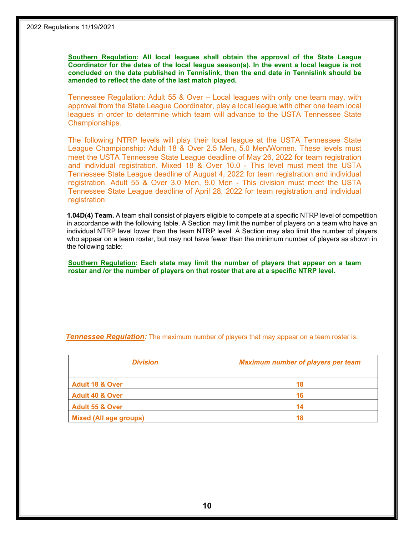**Southern Regulation: All local leagues shall obtain the approval of the State League Coordinator for the dates of the local league season(s). In the event a local league is not concluded on the date published in Tennislink, then the end date in Tennislink should be amended to reflect the date of the last match played.**

Tennessee Regulation: Adult 55 & Over – Local leagues with only one team may, with approval from the State League Coordinator, play a local league with other one team local leagues in order to determine which team will advance to the USTA Tennessee State Championships.

The following NTRP levels will play their local league at the USTA Tennessee State League Championship: Adult 18 & Over 2.5 Men, 5.0 Men/Women. These levels must meet the USTA Tennessee State League deadline of May 26, 2022 for team registration and individual registration. Mixed 18 & Over 10.0 - This level must meet the USTA Tennessee State League deadline of August 4, 2022 for team registration and individual registration. Adult 55 & Over 3.0 Men, 9.0 Men - This division must meet the USTA Tennessee State League deadline of April 28, 2022 for team registration and individual registration.

**1.04D(4) Team.** A team shall consist of players eligible to compete at a specific NTRP level of competition in accordance with the following table. A Section may limit the number of players on a team who have an individual NTRP level lower than the team NTRP level. A Section may also limit the number of players who appear on a team roster, but may not have fewer than the minimum number of players as shown in the following table:

**Southern Regulation: Each state may limit the number of players that appear on a team roster and /or the number of players on that roster that are at a specific NTRP level.**

*Tennessee Regulation:* The maximum number of players that may appear on a team roster is:

| <b>Division</b>            | <b>Maximum number of players per team</b> |
|----------------------------|-------------------------------------------|
| <b>Adult 18 &amp; Over</b> | 18                                        |
| <b>Adult 40 &amp; Over</b> | 16                                        |
| <b>Adult 55 &amp; Over</b> | 14                                        |
| Mixed (All age groups)     | 18                                        |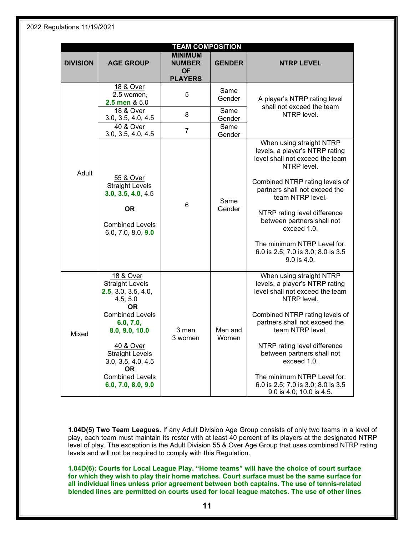2022 Regulations 11/19/2021

| <b>TEAM COMPOSITION</b> |                                                                                                                                                                                                                                                                        |                                                                |                  |                                                                                                                                                                                                                                                                                                                                                                                   |  |
|-------------------------|------------------------------------------------------------------------------------------------------------------------------------------------------------------------------------------------------------------------------------------------------------------------|----------------------------------------------------------------|------------------|-----------------------------------------------------------------------------------------------------------------------------------------------------------------------------------------------------------------------------------------------------------------------------------------------------------------------------------------------------------------------------------|--|
| <b>DIVISION</b>         | <b>AGE GROUP</b>                                                                                                                                                                                                                                                       | <b>MINIMUM</b><br><b>NUMBER</b><br><b>OF</b><br><b>PLAYERS</b> | <b>GENDER</b>    | <b>NTRP LEVEL</b>                                                                                                                                                                                                                                                                                                                                                                 |  |
|                         | <u>18 &amp; Over</u><br>5<br>2.5 women,<br>2.5 men & 5.0                                                                                                                                                                                                               |                                                                | Same<br>Gender   | A player's NTRP rating level<br>shall not exceed the team                                                                                                                                                                                                                                                                                                                         |  |
|                         | <b>18 &amp; Over</b><br>3.0, 3.5, 4.0, 4.5                                                                                                                                                                                                                             | 8                                                              | Same<br>Gender   | NTRP level.                                                                                                                                                                                                                                                                                                                                                                       |  |
|                         | 40 & Over<br>3.0, 3.5, 4.0, 4.5                                                                                                                                                                                                                                        | $\overline{7}$                                                 | Same<br>Gender   |                                                                                                                                                                                                                                                                                                                                                                                   |  |
| Adult                   | 55 & Over<br><b>Straight Levels</b><br>3.0, 3.5, 4.0, 4.5<br><b>OR</b><br><b>Combined Levels</b><br>6.0, 7.0, 8.0, 9.0                                                                                                                                                 | 6                                                              | Same<br>Gender   | When using straight NTRP<br>levels, a player's NTRP rating<br>level shall not exceed the team<br>NTRP level.<br>Combined NTRP rating levels of<br>partners shall not exceed the<br>team NTRP level.<br>NTRP rating level difference<br>between partners shall not<br>exceed 1.0.<br>The minimum NTRP Level for:<br>6.0 is 2.5; 7.0 is 3.0; 8.0 is 3.5<br>$9.0$ is $4.0$ .         |  |
| Mixed                   | 18 & Over<br><b>Straight Levels</b><br>2.5, 3.0, 3.5, 4.0,<br>4.5, 5.0<br><b>OR</b><br><b>Combined Levels</b><br>6.0, 7.0,<br>8.0, 9.0, 10.0<br>40 & Over<br><b>Straight Levels</b><br>3.0, 3.5, 4.0, 4.5<br><b>OR</b><br><b>Combined Levels</b><br>6.0, 7.0, 8.0, 9.0 | 3 men<br>3 women                                               | Men and<br>Women | When using straight NTRP<br>levels, a player's NTRP rating<br>level shall not exceed the team<br>NTRP level.<br>Combined NTRP rating levels of<br>partners shall not exceed the<br>team NTRP level.<br>NTRP rating level difference<br>between partners shall not<br>exceed 1.0.<br>The minimum NTRP Level for:<br>6.0 is 2.5; 7.0 is 3.0; 8.0 is 3.5<br>9.0 is 4.0; 10.0 is 4.5. |  |

**1.04D(5) Two Team Leagues.** If any Adult Division Age Group consists of only two teams in a level of play, each team must maintain its roster with at least 40 percent of its players at the designated NTRP level of play. The exception is the Adult Division 55 & Over Age Group that uses combined NTRP rating levels and will not be required to comply with this Regulation.

**1.04D(6): Courts for Local League Play. "Home teams" will have the choice of court surface for which they wish to play their home matches. Court surface must be the same surface for all individual lines unless prior agreement between both captains. The use of tennis-related blended lines are permitted on courts used for local league matches. The use of other lines**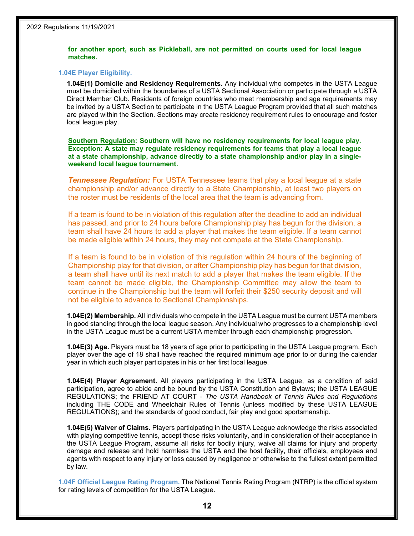#### **for another sport, such as Pickleball, are not permitted on courts used for local league matches.**

#### **1.04E Player Eligibility.**

**1.04E(1) Domicile and Residency Requirements.** Any individual who competes in the USTA League must be domiciled within the boundaries of a USTA Sectional Association or participate through a USTA Direct Member Club. Residents of foreign countries who meet membership and age requirements may be invited by a USTA Section to participate in the USTA League Program provided that all such matches are played within the Section. Sections may create residency requirement rules to encourage and foster local league play.

**Southern Regulation: Southern will have no residency requirements for local league play. Exception: A state may regulate residency requirements for teams that play a local league at a state championship, advance directly to a state championship and/or play in a singleweekend local league tournament.**

*Tennessee Regulation:* For USTA Tennessee teams that play a local league at a state championship and/or advance directly to a State Championship, at least two players on the roster must be residents of the local area that the team is advancing from.

If a team is found to be in violation of this regulation after the deadline to add an individual has passed, and prior to 24 hours before Championship play has begun for the division, a team shall have 24 hours to add a player that makes the team eligible. If a team cannot be made eligible within 24 hours, they may not compete at the State Championship.

If a team is found to be in violation of this regulation within 24 hours of the beginning of Championship play for that division, or after Championship play has begun for that division, a team shall have until its next match to add a player that makes the team eligible. If the team cannot be made eligible, the Championship Committee may allow the team to continue in the Championship but the team will forfeit their \$250 security deposit and will not be eligible to advance to Sectional Championships.

**1.04E(2) Membership.** All individuals who compete in the USTA League must be current USTA members in good standing through the local league season. Any individual who progresses to a championship level in the USTA League must be a current USTA member through each championship progression.

**1.04E(3) Age.** Players must be 18 years of age prior to participating in the USTA League program. Each player over the age of 18 shall have reached the required minimum age prior to or during the calendar year in which such player participates in his or her first local league.

**1.04E(4) Player Agreement.** All players participating in the USTA League, as a condition of said participation, agree to abide and be bound by the USTA Constitution and Bylaws; the USTA LEAGUE REGULATIONS; the FRIEND AT COURT - *The USTA Handbook of Tennis Rules and Regulations*  including THE CODE and Wheelchair Rules of Tennis (unless modified by these USTA LEAGUE REGULATIONS); and the standards of good conduct, fair play and good sportsmanship.

**1.04E(5) Waiver of Claims.** Players participating in the USTA League acknowledge the risks associated with playing competitive tennis, accept those risks voluntarily, and in consideration of their acceptance in the USTA League Program, assume all risks for bodily injury, waive all claims for injury and property damage and release and hold harmless the USTA and the host facility, their officials, employees and agents with respect to any injury or loss caused by negligence or otherwise to the fullest extent permitted by law.

**1.04F Official League Rating Program.** The National Tennis Rating Program (NTRP) is the official system for rating levels of competition for the USTA League.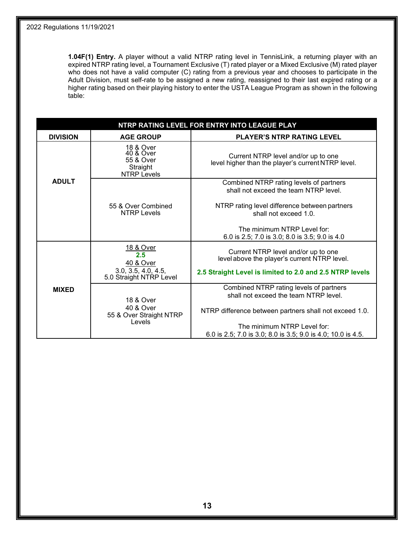**1.04F(1) Entry.** A player without a valid NTRP rating level in TennisLink, a returning player with an expired NTRP rating level, a Tournament Exclusive (T) rated player or a Mixed Exclusive (M) rated player who does not have a valid computer (C) rating from a previous year and chooses to participate in the Adult Division, must self-rate to be assigned a new rating, reassigned to their last expired rating or a higher rating based on their playing history to enter the USTA League Program as shown in the following table:

| NTRP RATING LEVEL FOR ENTRY INTO LEAGUE PLAY   |                                                                       |                                                                                             |  |
|------------------------------------------------|-----------------------------------------------------------------------|---------------------------------------------------------------------------------------------|--|
| <b>DIVISION</b>                                | <b>AGE GROUP</b>                                                      | <b>PLAYER'S NTRP RATING LEVEL</b>                                                           |  |
|                                                | 18 & Over<br>40 & Over<br>55 & Over<br>Straight<br><b>NTRP Levels</b> | Current NTRP level and/or up to one<br>level higher than the player's current NTRP level.   |  |
| <b>ADULT</b>                                   |                                                                       | Combined NTRP rating levels of partners<br>shall not exceed the team NTRP level.            |  |
|                                                | 55 & Over Combined<br><b>NTRP Levels</b>                              | NTRP rating level difference between partners<br>shall not exceed 1.0.                      |  |
|                                                |                                                                       | The minimum NTRP Level for:<br>6.0 is 2.5; 7.0 is 3.0; 8.0 is 3.5; 9.0 is 4.0               |  |
|                                                | <u>18 &amp; Over</u><br>2.5<br>40 & Over                              | Current NTRP level and/or up to one<br>level above the player's current NTRP level.         |  |
| 3.0, 3.5, 4.0, 4.5,<br>5.0 Straight NTRP Level |                                                                       | 2.5 Straight Level is limited to 2.0 and 2.5 NTRP levels                                    |  |
| <b>MIXED</b>                                   | 18 & Over                                                             | Combined NTRP rating levels of partners<br>shall not exceed the team NTRP level.            |  |
|                                                | 40 & Over<br>55 & Over Straight NTRP<br>Levels                        | NTRP difference between partners shall not exceed 1.0.                                      |  |
|                                                |                                                                       | The minimum NTRP Level for:<br>6.0 is 2.5; 7.0 is 3.0; 8.0 is 3.5; 9.0 is 4.0; 10.0 is 4.5. |  |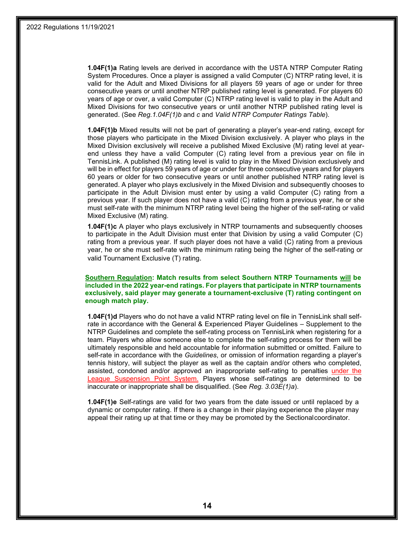**1.04F(1)a** Rating levels are derived in accordance with the USTA NTRP Computer Rating System Procedures. Once a player is assigned a valid Computer (C) NTRP rating level, it is valid for the Adult and Mixed Divisions for all players 59 years of age or under for three consecutive years or until another NTRP published rating level is generated. For players 60 years of age or over, a valid Computer (C) NTRP rating level is valid to play in the Adult and Mixed Divisions for two consecutive years or until another NTRP published rating level is generated. (See *Reg.1.04F(1)b* and *c* and *Valid NTRP Computer Ratings Table*).

**1.04F(1)b** Mixed results will not be part of generating a player's year-end rating, except for those players who participate in the Mixed Division exclusively. A player who plays in the Mixed Division exclusively will receive a published Mixed Exclusive (M) rating level at yearend unless they have a valid Computer (C) rating level from a previous year on file in TennisLink. A published (M) rating level is valid to play in the Mixed Division exclusively and will be in effect for players 59 years of age or under for three consecutive years and for players 60 years or older for two consecutive years or until another published NTRP rating level is generated. A player who plays exclusively in the Mixed Division and subsequently chooses to participate in the Adult Division must enter by using a valid Computer (C) rating from a previous year. If such player does not have a valid (C) rating from a previous year, he or she must self-rate with the minimum NTRP rating level being the higher of the self-rating or valid Mixed Exclusive (M) rating.

**1.04F(1)c** A player who plays exclusively in NTRP tournaments and subsequently chooses to participate in the Adult Division must enter that Division by using a valid Computer (C) rating from a previous year. If such player does not have a valid (C) rating from a previous year, he or she must self-rate with the minimum rating being the higher of the self-rating or valid Tournament Exclusive (T) rating.

#### **Southern Regulation: Match results from select Southern NTRP Tournaments will be included in the 2022 year-end ratings. For players that participate in NTRP tournaments exclusively, said player may generate a tournament-exclusive (T) rating contingent on enough match play.**

**1.04F(1)d** Players who do not have a valid NTRP rating level on file in TennisLink shall selfrate in accordance with the General & Experienced Player Guidelines – Supplement to the NTRP Guidelines and complete the self-rating process on TennisLink when registering for a team. Players who allow someone else to complete the self-rating process for them will be ultimately responsible and held accountable for information submitted or omitted. Failure to self-rate in accordance with the *Guidelines*, or omission of information regarding a player's tennis history, will subject the player as well as the captain and/or others who completed, assisted, condoned and/or approved an inappropriate self-rating to penalties under the League Suspension Point System. Players whose self-ratings are determined to be inaccurate or inappropriate shall be disqualified. (See *Reg. 3.03E(1)a*).

**1.04F(1)e** Self-ratings are valid for two years from the date issued or until replaced by a dynamic or computer rating. If there is a change in their playing experience the player may appeal their rating up at that time or they may be promoted by the Sectionalcoordinator.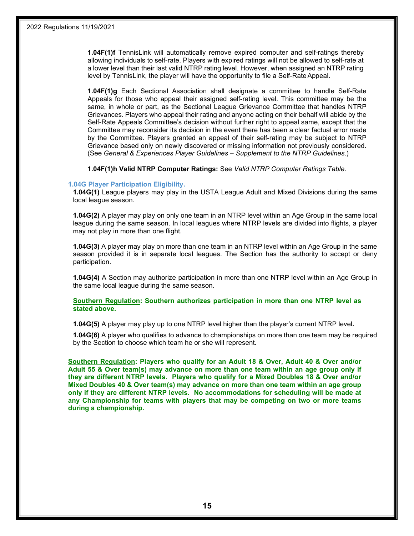**1.04F(1)f** TennisLink will automatically remove expired computer and self-ratings thereby allowing individuals to self-rate. Players with expired ratings will not be allowed to self-rate at a lower level than their last valid NTRP rating level. However, when assigned an NTRP rating level by TennisLink, the player will have the opportunity to file a Self-Rate Appeal.

**1.04F(1)g** Each Sectional Association shall designate a committee to handle Self-Rate Appeals for those who appeal their assigned self-rating level. This committee may be the same, in whole or part, as the Sectional League Grievance Committee that handles NTRP Grievances. Players who appeal their rating and anyone acting on their behalf will abide by the Self-Rate Appeals Committee's decision without further right to appeal same, except that the Committee may reconsider its decision in the event there has been a clear factual error made by the Committee. Players granted an appeal of their self-rating may be subject to NTRP Grievance based only on newly discovered or missing information not previously considered. (See *General & Experiences Player Guidelines – Supplement to the NTRP Guidelines*.)

**1.04F(1)h Valid NTRP Computer Ratings:** See *Valid NTRP Computer Ratings Table*.

#### **1.04G Player Participation Eligibility.**

**1.04G(1)** League players may play in the USTA League Adult and Mixed Divisions during the same local league season.

**1.04G(2)** A player may play on only one team in an NTRP level within an Age Group in the same local league during the same season. In local leagues where NTRP levels are divided into flights, a player may not play in more than one flight.

**1.04G(3)** A player may play on more than one team in an NTRP level within an Age Group in the same season provided it is in separate local leagues. The Section has the authority to accept or deny participation.

**1.04G(4)** A Section may authorize participation in more than one NTRP level within an Age Group in the same local league during the same season.

**Southern Regulation: Southern authorizes participation in more than one NTRP level as stated above.**

**1.04G(5)** A player may play up to one NTRP level higher than the player's current NTRP level**.**

**1.04G(6)** A player who qualifies to advance to championships on more than one team may be required by the Section to choose which team he or she will represent.

**Southern Regulation: Players who qualify for an Adult 18 & Over, Adult 40 & Over and/or Adult 55 & Over team(s) may advance on more than one team within an age group only if they are different NTRP levels. Players who qualify for a Mixed Doubles 18 & Over and/or Mixed Doubles 40 & Over team(s) may advance on more than one team within an age group only if they are different NTRP levels. No accommodations for scheduling will be made at any Championship for teams with players that may be competing on two or more teams during a championship.**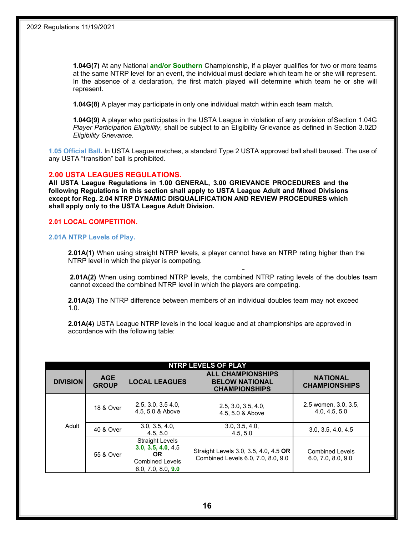**1.04G(7)** At any National **and/or Southern** Championship, if a player qualifies for two or more teams at the same NTRP level for an event, the individual must declare which team he or she will represent. In the absence of a declaration, the first match played will determine which team he or she will represent.

**1.04G(8)** A player may participate in only one individual match within each team match.

**1.04G(9)** A player who participates in the USTA League in violation of any provision ofSection 1.04G *Player Participation Eligibility*, shall be subject to an Eligibility Grievance as defined in Section 3.02D *Eligibility Grievance*.

**1.05 Official Ball.** In USTA League matches, a standard Type 2 USTA approved ball shall beused. The use of any USTA "transition" ball is prohibited.

#### **2.00 USTA LEAGUES REGULATIONS.**

**All USTA League Regulations in 1.00 GENERAL, 3.00 GRIEVANCE PROCEDURES and the following Regulations in this section shall apply to USTA League Adult and Mixed Divisions except for Reg. 2.04 NTRP DYNAMIC DISQUALIFICATION AND REVIEW PROCEDURES which shall apply only to the USTA League Adult Division.**

#### **2.01 LOCAL COMPETITION.**

#### **2.01A NTRP Levels of Play.**

**2.01A(1)** When using straight NTRP levels, a player cannot have an NTRP rating higher than the NTRP level in which the player is competing.

**2.01A(2)** When using combined NTRP levels, the combined NTRP rating levels of the doubles team cannot exceed the combined NTRP level in which the players are competing.

**2.01A(3)** The NTRP difference between members of an individual doubles team may not exceed 1.0.

**2.01A(4)** USTA League NTRP levels in the local league and at championships are approved in accordance with the following table:

| <b>NTRP LEVELS OF PLAY</b> |                            |                                                                                                           |                                                                             |                                              |  |
|----------------------------|----------------------------|-----------------------------------------------------------------------------------------------------------|-----------------------------------------------------------------------------|----------------------------------------------|--|
| <b>DIVISION</b>            | <b>AGE</b><br><b>GROUP</b> | <b>LOCAL LEAGUES</b>                                                                                      | <b>ALL CHAMPIONSHIPS</b><br><b>BELOW NATIONAL</b><br><b>CHAMPIONSHIPS</b>   | <b>NATIONAL</b><br><b>CHAMPIONSHIPS</b>      |  |
|                            | 18 & Over                  | 2.5, 3.0, 3.5, 4.0,<br>4.5, 5.0 & Above                                                                   | 2.5, 3.0, 3.5, 4.0,<br>4.5.5.0 & Above                                      | 2.5 women, 3.0, 3.5,<br>4.0, 4.5, 5.0        |  |
| Adult                      | 40 & Over                  | 3.0, 3.5, 4.0,<br>4.5, 5.0                                                                                | 3.0, 3.5, 4.0,<br>4.5, 5.0                                                  | 3.0, 3.5, 4.0, 4.5                           |  |
|                            | 55 & Over                  | <b>Straight Levels</b><br>3.0, 3.5, 4.0, 4.5<br><b>OR</b><br><b>Combined Levels</b><br>6.0, 7.0, 8.0, 9.0 | Straight Levels 3.0, 3.5, 4.0, 4.5 OR<br>Combined Levels 6.0, 7.0, 8.0, 9.0 | <b>Combined Levels</b><br>6.0, 7.0, 8.0, 9.0 |  |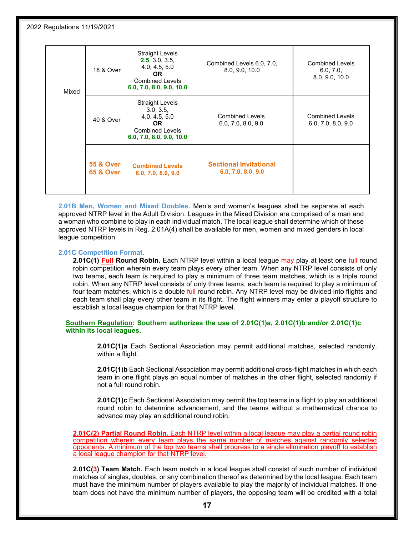2022 Regulations 11/19/2021

| Mixed | 18 & Over                                    | <b>Straight Levels</b><br>2.5, 3.0, 3.5,<br>4.0, 4.5, 5.0<br>OR.<br><b>Combined Levels</b><br>6.0, 7.0, 8.0, 9.0, 10.0  | Combined Levels 6.0, 7.0,<br>8.0, 9.0, 10.0         | <b>Combined Levels</b><br>6.0, 7.0,<br>8.0, 9.0, 10.0 |
|-------|----------------------------------------------|-------------------------------------------------------------------------------------------------------------------------|-----------------------------------------------------|-------------------------------------------------------|
|       | 40 & Over                                    | <b>Straight Levels</b><br>3.0, 3.5,<br>4.0, 4.5, 5.0<br><b>OR</b><br><b>Combined Levels</b><br>6.0, 7.0, 8.0, 9.0, 10.0 | Combined Levels<br>6.0, 7.0, 8.0, 9.0               | <b>Combined Levels</b><br>6.0, 7.0, 8.0, 9.0          |
|       | <b>55 &amp; Over</b><br><b>65 &amp; Over</b> | <b>Combined Levels</b><br>6.0, 7.0, 8.0, 9.0                                                                            | <b>Sectional Invitational</b><br>6.0, 7.0, 8.0, 9.0 |                                                       |

**2.01B Men, Women and Mixed Doubles.** Men's and women's leagues shall be separate at each approved NTRP level in the Adult Division. Leagues in the Mixed Division are comprised of a man and a woman who combine to play in each individual match. The local league shall determine which of these approved NTRP levels in Reg. 2.01A(4) shall be available for men, women and mixed genders in local league competition.

#### **2.01C Competition Format.**

**2.01C(1) Full Round Robin.** Each NTRP level within a local league may play at least one full round robin competition wherein every team plays every other team. When any NTRP level consists of only two teams, each team is required to play a minimum of three team matches, which is a triple round robin. When any NTRP level consists of only three teams, each team is required to play a minimum of four team matches, which is a double full round robin. Any NTRP level may be divided into flights and each team shall play every other team in its flight. The flight winners may enter a playoff structure to establish a local league champion for that NTRP level.

#### **Southern Regulation: Southern authorizes the use of 2.01C(1)a, 2.01C(1)b and/or 2.01C(1)c within its local leagues.**

**2.01C(1)a** Each Sectional Association may permit additional matches, selected randomly, within a flight.

**2.01C(1)b** Each Sectional Association may permit additional cross-flight matches in which each team in one flight plays an equal number of matches in the other flight, selected randomly if not a full round robin.

**2.01C(1)c** Each Sectional Association may permit the top teams in a flight to play an additional round robin to determine advancement, and the teams without a mathematical chance to advance may play an additional round robin.

**2.01C(2) Partial Round Robin.** Each NTRP level within a local league may play a partial round robin competition wherein every team plays the same number of matches against randomly selected opponents. A minimum of the top two teams shall progress to a single elimination playoff to establish a local league champion for that NTRP level.

**2.01C(3) Team Match.** Each team match in a local league shall consist of such number of individual matches of singles, doubles, or any combination thereof as determined by the local league. Each team must have the minimum number of players available to play the majority of individual matches. If one team does not have the minimum number of players, the opposing team will be credited with a total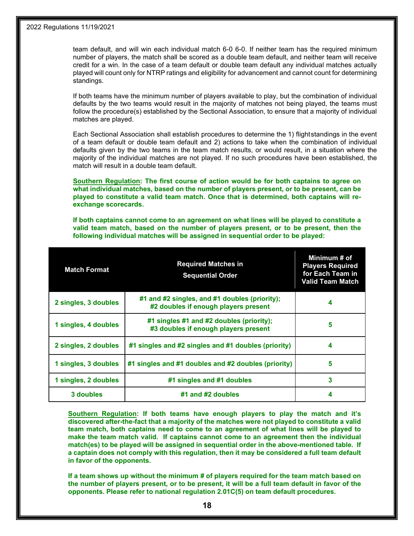#### 2022 Regulations 11/19/2021

team default, and will win each individual match 6-0 6-0. If neither team has the required minimum number of players, the match shall be scored as a double team default, and neither team will receive credit for a win. In the case of a team default or double team default any individual matches actually played will count only for NTRP ratings and eligibility for advancement and cannot count for determining standings.

If both teams have the minimum number of players available to play, but the combination of individual defaults by the two teams would result in the majority of matches not being played, the teams must follow the procedure(s) established by the Sectional Association, to ensure that a majority of individual matches are played.

Each Sectional Association shall establish procedures to determine the 1) flightstandings in the event of a team default or double team default and 2) actions to take when the combination of individual defaults given by the two teams in the team match results, or would result, in a situation where the majority of the individual matches are not played. If no such procedures have been established, the match will result in a double team default.

**Southern Regulation: The first course of action would be for both captains to agree on what individual matches, based on the number of players present, or to be present, can be played to constitute a valid team match. Once that is determined, both captains will reexchange scorecards.**

**If both captains cannot come to an agreement on what lines will be played to constitute a valid team match, based on the number of players present, or to be present, then the following individual matches will be assigned in sequential order to be played:**

| <b>Match Format</b>  | <b>Required Matches in</b><br><b>Sequential Order</b>                                 | Minimum # of<br><b>Players Required</b><br>for Each Team in<br><b>Valid Team Match</b> |
|----------------------|---------------------------------------------------------------------------------------|----------------------------------------------------------------------------------------|
| 2 singles, 3 doubles | #1 and #2 singles, and #1 doubles (priority);<br>#2 doubles if enough players present | 4                                                                                      |
| 1 singles, 4 doubles | #1 singles #1 and #2 doubles (priority);<br>#3 doubles if enough players present      | 5                                                                                      |
| 2 singles, 2 doubles | #1 singles and #2 singles and #1 doubles (priority)                                   | 4                                                                                      |
| 1 singles, 3 doubles | #1 singles and #1 doubles and #2 doubles (priority)                                   | 5                                                                                      |
| 1 singles, 2 doubles | #1 singles and #1 doubles                                                             | 3                                                                                      |
| 3 doubles            | #1 and #2 doubles                                                                     | 4                                                                                      |

**Southern Regulation: If both teams have enough players to play the match and it's discovered after-the-fact that a majority of the matches were not played to constitute a valid team match, both captains need to come to an agreement of what lines will be played to make the team match valid. If captains cannot come to an agreement then the individual match(es) to be played will be assigned in sequential order in the above-mentioned table. If a captain does not comply with this regulation, then it may be considered a full team default in favor of the opponents.**

**If a team shows up without the minimum # of players required for the team match based on the number of players present, or to be present, it will be a full team default in favor of the opponents. Please refer to national regulation 2.01C(5) on team default procedures.**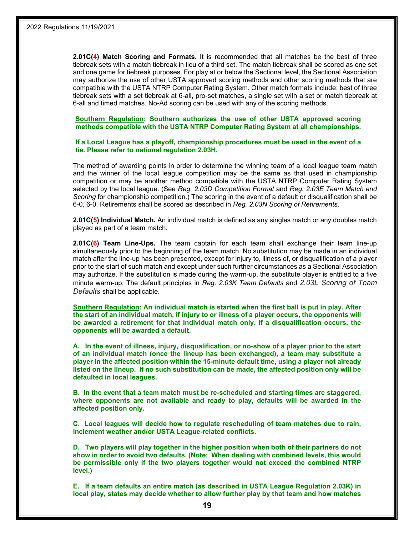**2.01C(4) Match Scoring and Formats.** It is recommended that all matches be the best of three tiebreak sets with a match tiebreak in lieu of a third set. The match tiebreak shall be scored as one set and one game for tiebreak purposes. For play at or below the Sectional level, the Sectional Association may authorize the use of other USTA approved scoring methods and other scoring methods that are compatible with the USTA NTRP Computer Rating System. Other match formats include: best of three tiebreak sets with a set tiebreak at 6-all, pro-set matches, a single set with a set or match tiebreak at 6-all and timed matches. No-Ad scoring can be used with any of the scoring methods.

**Southern Regulation: Southern authorizes the use of other USTA approved scoring methods compatible with the USTA NTRP Computer Rating System at all championships.** 

**If a Local League has a playoff, championship procedures must be used in the event of a tie. Please refer to national regulation 2.03H.**

The method of awarding points in order to determine the winning team of a local league team match and the winner of the local league competition may be the same as that used in championship competition or may be another method compatible with the USTA NTRP Computer Rating System selected by the local league. (See *Reg. 2.03D Competition Format* and *Reg. 2.03E Team Match and Scoring* for championship competition.) The scoring in the event of a default or disqualification shall be 6-0, 6-0. Retirements shall be scored as described in *Reg. 2.03N Scoring of Retirements*.

**2.01C(5) Individual Match.** An individual match is defined as any singles match or any doubles match played as part of a team match.

**2.01C(6) Team Line-Ups.** The team captain for each team shall exchange their team line-up simultaneously prior to the beginning of the team match. No substitution may be made in an individual match after the line-up has been presented, except for injury to, illness of, or disqualification of a player prior to the start of such match and except under such further circumstances as a Sectional Association may authorize. If the substitution is made during the warm-up, the substitute player is entitled to a five minute warm-up. The default principles in *Reg. 2.03K Team Defaults* and *2.03L Scoring of Team Defaults* shall be applicable.

**Southern Regulation: An individual match is started when the first ball is put in play. After the start of an individual match, if injury to or illness of a player occurs, the opponents will be awarded a retirement for that individual match only. If a disqualification occurs, the opponents will be awarded a default.**

**A. In the event of illness, injury, disqualification, or no-show of a player prior to the start of an individual match (once the lineup has been exchanged), a team may substitute a player in the affected position within the 15-minute default time, using a player not already listed on the lineup. If no such substitution can be made, the affected position only will be defaulted in local leagues.** 

**B. In the event that a team match must be re-scheduled and starting times are staggered, where opponents are not available and ready to play, defaults will be awarded in the affected position only.**

**C. Local leagues will decide how to regulate rescheduling of team matches due to rain, inclement weather and/or USTA League-related conflicts.** 

**D. Two players will play together in the higher position when both of their partners do not show in order to avoid two defaults. (Note: When dealing with combined levels, this would be permissible only if the two players together would not exceed the combined NTRP level.)**

**E. If a team defaults an entire match (as described in USTA League Regulation 2.03K) in local play, states may decide whether to allow further play by that team and how matches**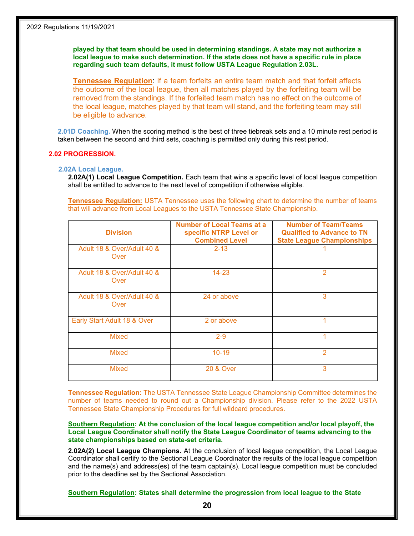**played by that team should be used in determining standings. A state may not authorize a local league to make such determination. If the state does not have a specific rule in place regarding such team defaults, it must follow USTA League Regulation 2.03L.** 

**Tennessee Regulation**: If a team forfeits an entire team match and that forfeit affects the outcome of the local league, then all matches played by the forfeiting team will be removed from the standings. If the forfeited team match has no effect on the outcome of the local league, matches played by that team will stand, and the forfeiting team may still be eligible to advance.

**2.01D Coaching.** When the scoring method is the best of three tiebreak sets and a 10 minute rest period is taken between the second and third sets, coaching is permitted only during this rest period.

#### **2.02 PROGRESSION.**

#### **2.02A Local League.**

**2.02A(1) Local League Competition.** Each team that wins a specific level of local league competition shall be entitled to advance to the next level of competition if otherwise eligible.

**Tennessee Regulation:** USTA Tennessee uses the following chart to determine the number of teams that will advance from Local Leagues to the USTA Tennessee State Championship.

| <b>Division</b>                    | <b>Number of Local Teams at a</b><br>specific NTRP Level or<br><b>Combined Level</b> | <b>Number of Team/Teams</b><br><b>Qualified to Advance to TN</b><br><b>State League Championships</b> |
|------------------------------------|--------------------------------------------------------------------------------------|-------------------------------------------------------------------------------------------------------|
| Adult 18 & Over/Adult 40 &<br>Over | $2 - 13$                                                                             |                                                                                                       |
| Adult 18 & Over/Adult 40 &<br>Over | $14 - 23$                                                                            | $\overline{2}$                                                                                        |
| Adult 18 & Over/Adult 40 &<br>Over | 24 or above                                                                          | 3                                                                                                     |
| Early Start Adult 18 & Over        | 2 or above                                                                           | 1                                                                                                     |
| <b>Mixed</b>                       | $2 - 9$                                                                              |                                                                                                       |
| Mixed                              | $10 - 19$                                                                            | $\overline{2}$                                                                                        |
| Mixed                              | <b>20 &amp; Over</b>                                                                 | 3                                                                                                     |

**Tennessee Regulation:** The USTA Tennessee State League Championship Committee determines the number of teams needed to round out a Championship division. Please refer to the 2022 USTA Tennessee State Championship Procedures for full wildcard procedures.

**Southern Regulation: At the conclusion of the local league competition and/or local playoff, the Local League Coordinator shall notify the State League Coordinator of teams advancing to the state championships based on state-set criteria.**

**2.02A(2) Local League Champions.** At the conclusion of local league competition, the Local League Coordinator shall certify to the Sectional League Coordinator the results of the local league competition and the name(s) and address(es) of the team captain(s). Local league competition must be concluded prior to the deadline set by the Sectional Association.

**Southern Regulation: States shall determine the progression from local league to the State**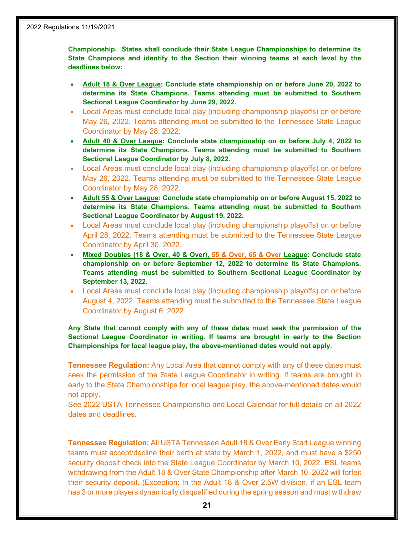**Championship. States shall conclude their State League Championships to determine its State Champions and identify to the Section their winning teams at each level by the deadlines below:**

- **Adult 18 & Over League: Conclude state championship on or before June 20, 2022 to determine its State Champions. Teams attending must be submitted to Southern Sectional League Coordinator by June 29, 2022.**
- Local Areas must conclude local play (including championship playoffs) on or before May 26, 2022. Teams attending must be submitted to the Tennessee State League Coordinator by May 28, 2022.
- **Adult 40 & Over League: Conclude state championship on or before July 4, 2022 to determine its State Champions. Teams attending must be submitted to Southern Sectional League Coordinator by July 8, 2022.**
- Local Areas must conclude local play (including championship playoffs) on or before May 26, 2022. Teams attending must be submitted to the Tennessee State League Coordinator by May 28, 2022.
- **Adult 55 & Over League: Conclude state championship on or before August 15, 2022 to determine its State Champions. Teams attending must be submitted to Southern Sectional League Coordinator by August 19, 2022.**
- Local Areas must conclude local play (including championship playoffs) on or before April 28, 2022. Teams attending must be submitted to the Tennessee State League Coordinator by April 30, 2022.
- **Mixed Doubles (18 & Over, 40 & Over), 55 & Over, 65 & Over League: Conclude state championship on or before September 12, 2022 to determine its State Champions. Teams attending must be submitted to Southern Sectional League Coordinator by September 13, 2022.**
- Local Areas must conclude local play (including championship playoffs) on or before August 4, 2022. Teams attending must be submitted to the Tennessee State League Coordinator by August 6, 2022.

**Any State that cannot comply with any of these dates must seek the permission of the Sectional League Coordinator in writing. If teams are brought in early to the Section Championships for local league play, the above-mentioned dates would not apply.**

**Tennessee Regulation:** Any Local Area that cannot comply with any of these dates must seek the permission of the State League Coordinator in writing. If teams are brought in early to the State Championships for local league play, the above-mentioned dates would not apply.

See 2022 USTA Tennessee Championship and Local Calendar for full details on all 2022 dates and deadlines.

**Tennessee Regulation:** All USTA Tennessee Adult 18 & Over Early Start League winning teams must accept/decline their berth at state by March 1, 2022, and must have a \$250 security deposit check into the State League Coordinator by March 10, 2022. ESL teams withdrawing from the Adult 18 & Over State Championship after March 10, 2022 will forfeit their security deposit. (Exception: In the Adult 18 & Over 2.5W division, if an ESL team has 3 or more players dynamically disqualified during the spring season and must withdraw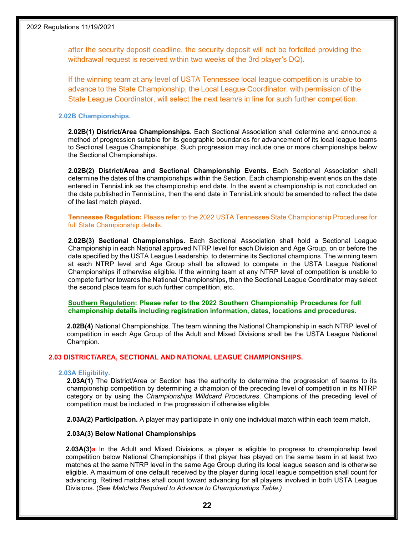after the security deposit deadline, the security deposit will not be forfeited providing the withdrawal request is received within two weeks of the 3rd player's DQ).

If the winning team at any level of USTA Tennessee local league competition is unable to advance to the State Championship, the Local League Coordinator, with permission of the State League Coordinator, will select the next team/s in line for such further competition.

#### **2.02B Championships.**

**2.02B(1) District/Area Championships.** Each Sectional Association shall determine and announce a method of progression suitable for its geographic boundaries for advancement of its local league teams to Sectional League Championships. Such progression may include one or more championships below the Sectional Championships.

**2.02B(2) District/Area and Sectional Championship Events.** Each Sectional Association shall determine the dates of the championships within the Section. Each championship event ends on the date entered in TennisLink as the championship end date. In the event a championship is not concluded on the date published in TennisLink, then the end date in TennisLink should be amended to reflect the date of the last match played.

**Tennessee Regulation:** Please refer to the 2022 USTA Tennessee State Championship Procedures for full State Championship details.

**2.02B(3) Sectional Championships.** Each Sectional Association shall hold a Sectional League Championship in each National approved NTRP level for each Division and Age Group, on or before the date specified by the USTA League Leadership, to determine its Sectional champions. The winning team at each NTRP level and Age Group shall be allowed to compete in the USTA League National Championships if otherwise eligible. If the winning team at any NTRP level of competition is unable to compete further towards the National Championships, then the Sectional League Coordinator may select the second place team for such further competition, etc.

**Southern Regulation: Please refer to the 2022 Southern Championship Procedures for full championship details including registration information, dates, locations and procedures.**

**2.02B(4)** National Championships. The team winning the National Championship in each NTRP level of competition in each Age Group of the Adult and Mixed Divisions shall be the USTA League National Champion.

#### **2.03 DISTRICT/AREA, SECTIONAL AND NATIONAL LEAGUE CHAMPIONSHIPS.**

#### **2.03A Eligibility.**

**2.03A(1)** The District/Area or Section has the authority to determine the progression of teams to its championship competition by determining a champion of the preceding level of competition in its NTRP category or by using the *Championships Wildcard Procedures*. Champions of the preceding level of competition must be included in the progression if otherwise eligible.

**2.03A(2) Participation.** A player may participate in only one individual match within each team match.

#### **2.03A(3) Below National Championships**

**2.03A(3)a** In the Adult and Mixed Divisions, a player is eligible to progress to championship level competition below National Championships if that player has played on the same team in at least two matches at the same NTRP level in the same Age Group during its local league season and is otherwise eligible. A maximum of one default received by the player during local league competition shall count for advancing. Retired matches shall count toward advancing for all players involved in both USTA League Divisions. (See *Matches Required to Advance to Championships Table.)*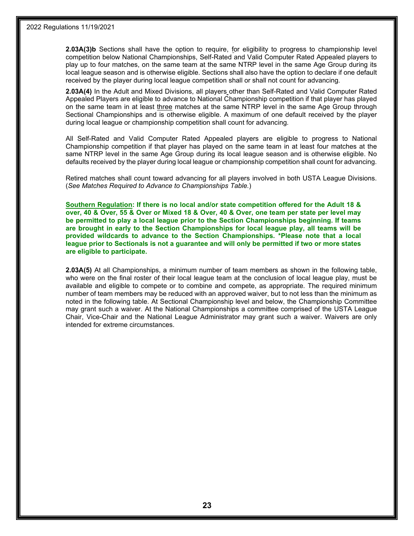**2.03A(3)b** Sections shall have the option to require, for eligibility to progress to championship level competition below National Championships, Self-Rated and Valid Computer Rated Appealed players to play up to four matches, on the same team at the same NTRP level in the same Age Group during its local league season and is otherwise eligible. Sections shall also have the option to declare if one default received by the player during local league competition shall or shall not count for advancing.

**2.03A(4)** In the Adult and Mixed Divisions, all players other than Self-Rated and Valid Computer Rated Appealed Players are eligible to advance to National Championship competition if that player has played on the same team in at least three matches at the same NTRP level in the same Age Group through Sectional Championships and is otherwise eligible. A maximum of one default received by the player during local league or championship competition shall count for advancing.

All Self-Rated and Valid Computer Rated Appealed players are eligible to progress to National Championship competition if that player has played on the same team in at least four matches at the same NTRP level in the same Age Group during its local league season and is otherwise eligible. No defaults received by the player during local league or championship competition shall count for advancing.

Retired matches shall count toward advancing for all players involved in both USTA League Divisions. (*See Matches Required to Advance to Championships Table.*)

**Southern Regulation: If there is no local and/or state competition offered for the Adult 18 & over, 40 & Over, 55 & Over or Mixed 18 & Over, 40 & Over, one team per state per level may be permitted to play a local league prior to the Section Championships beginning. If teams are brought in early to the Section Championships for local league play, all teams will be provided wildcards to advance to the Section Championships. \*Please note that a local league prior to Sectionals is not a guarantee and will only be permitted if two or more states are eligible to participate.**

**2.03A(5)** At all Championships, a minimum number of team members as shown in the following table, who were on the final roster of their local league team at the conclusion of local league play, must be available and eligible to compete or to combine and compete, as appropriate. The required minimum number of team members may be reduced with an approved waiver, but to not less than the minimum as noted in the following table. At Sectional Championship level and below, the Championship Committee may grant such a waiver. At the National Championships a committee comprised of the USTA League Chair, Vice-Chair and the National League Administrator may grant such a waiver. Waivers are only intended for extreme circumstances.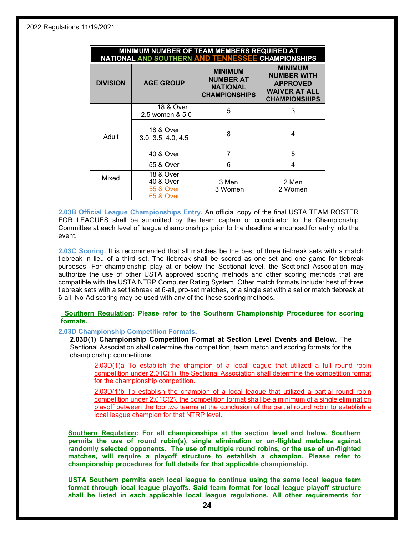2022 Regulations 11/19/2021

| MINIMUM NUMBER OF TEAM MEMBERS REQUIRED AT<br><b>NATIONAL AND SOUTHERN AND TENNESSEE CHAMPIONSHIPS</b> |                                                                        |                                                                               |                                                                                                         |
|--------------------------------------------------------------------------------------------------------|------------------------------------------------------------------------|-------------------------------------------------------------------------------|---------------------------------------------------------------------------------------------------------|
| <b>DIVISION</b>                                                                                        | <b>AGE GROUP</b>                                                       | <b>MINIMUM</b><br><b>NUMBER AT</b><br><b>NATIONAL</b><br><b>CHAMPIONSHIPS</b> | <b>MINIMUM</b><br><b>NUMBER WITH</b><br><b>APPROVED</b><br><b>WAIVER AT ALL</b><br><b>CHAMPIONSHIPS</b> |
|                                                                                                        | 18 & Over<br>2.5 women & 5.0                                           | 5                                                                             | 3                                                                                                       |
| Adult                                                                                                  | <b>18 &amp; Over</b><br>3.0, 3.5, 4.0, 4.5                             | 8                                                                             | 4                                                                                                       |
|                                                                                                        | 40 & Over                                                              | 7                                                                             | 5                                                                                                       |
|                                                                                                        | 55 & Over                                                              | 6                                                                             | 4                                                                                                       |
| Mixed                                                                                                  | 18 & Over<br>40 & Over<br><b>55 &amp; Over</b><br><b>65 &amp; Over</b> | 3 Men<br>3 Women                                                              | 2 Men<br>2 Women                                                                                        |

**2.03B Official League Championships Entry.** An official copy of the final USTA TEAM ROSTER FOR LEAGUES shall be submitted by the team captain or coordinator to the Championship Committee at each level of league championships prior to the deadline announced for entry into the event.

**2.03C Scoring.** It is recommended that all matches be the best of three tiebreak sets with a match tiebreak in lieu of a third set. The tiebreak shall be scored as one set and one game for tiebreak purposes. For championship play at or below the Sectional level, the Sectional Association may authorize the use of other USTA approved scoring methods and other scoring methods that are compatible with the USTA NTRP Computer Rating System. Other match formats include: best of three tiebreak sets with a set tiebreak at 6-all, pro-set matches, or a single set with a set or match tiebreak at 6-all. No-Ad scoring may be used with any of the these scoring methods**.**

#### **Southern Regulation: Please refer to the Southern Championship Procedures for scoring formats.**

#### **2.03D Championship Competition Formats.**

**2.03D(1) Championship Competition Format at Section Level Events and Below.** The Sectional Association shall determine the competition, team match and scoring formats for the championship competitions.

2.03D(1)a To establish the champion of a local league that utilized a full round robin competition under 2.01C(1), the Sectional Association shall determine the competition format for the championship competition.

2.03D(1)b To establish the champion of a local league that utilized a partial round robin competition under 2.01C(2), the competition format shall be a minimum of a single elimination playoff between the top two teams at the conclusion of the partial round robin to establish a local league champion for that NTRP level.

**Southern Regulation: For all championships at the section level and below, Southern permits the use of round robin(s), single elimination or un-flighted matches against randomly selected opponents. The use of multiple round robins, or the use of un-flighted matches, will require a playoff structure to establish a champion. Please refer to championship procedures for full details for that applicable championship.** 

**USTA Southern permits each local league to continue using the same local league team format through local league playoffs. Said team format for local league playoff structure shall be listed in each applicable local league regulations. All other requirements for**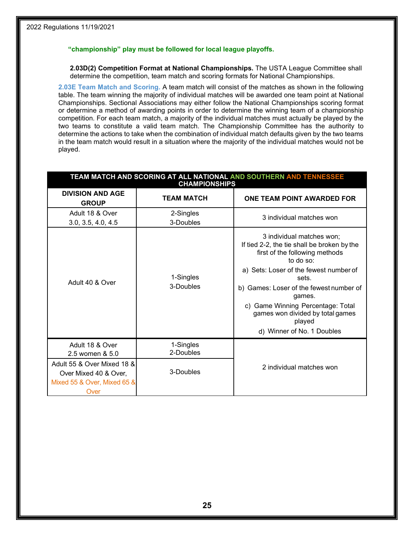#### **"championship" play must be followed for local league playoffs.**

**2.03D(2) Competition Format at National Championships.** The USTA League Committee shall determine the competition, team match and scoring formats for National Championships.

**2.03E Team Match and Scoring.** A team match will consist of the matches as shown in the following table. The team winning the majority of individual matches will be awarded one team point at National Championships. Sectional Associations may either follow the National Championships scoring format or determine a method of awarding points in order to determine the winning team of a championship competition. For each team match, a majority of the individual matches must actually be played by the two teams to constitute a valid team match. The Championship Committee has the authority to determine the actions to take when the combination of individual match defaults given by the two teams in the team match would result in a situation where the majority of the individual matches would not be played.

| TEAM MATCH AND SCORING AT ALL NATIONAL AND SOUTHERN AND TENNESSEE<br><b>CHAMPIONSHIPS</b>  |                        |                                                                                                                                                                                                                                                                                                                                                     |  |  |  |
|--------------------------------------------------------------------------------------------|------------------------|-----------------------------------------------------------------------------------------------------------------------------------------------------------------------------------------------------------------------------------------------------------------------------------------------------------------------------------------------------|--|--|--|
| <b>DIVISION AND AGE</b><br><b>GROUP</b>                                                    | <b>TEAM MATCH</b>      | ONE TEAM POINT AWARDED FOR                                                                                                                                                                                                                                                                                                                          |  |  |  |
| Adult 18 & Over<br>3.0, 3.5, 4.0, 4.5                                                      | 2-Singles<br>3-Doubles | 3 individual matches won                                                                                                                                                                                                                                                                                                                            |  |  |  |
| Adult 40 & Over                                                                            | 1-Singles<br>3-Doubles | 3 individual matches won;<br>If tied 2-2, the tie shall be broken by the<br>first of the following methods<br>to do so:<br>a) Sets: Loser of the fewest number of<br>sets.<br>b) Games: Loser of the fewest number of<br>games.<br>Game Winning Percentage: Total<br>C)<br>games won divided by total games<br>played<br>d) Winner of No. 1 Doubles |  |  |  |
| Adult 18 & Over<br>2.5 women & 5.0                                                         | 1-Singles<br>2-Doubles | 2 individual matches won                                                                                                                                                                                                                                                                                                                            |  |  |  |
| Adult 55 & Over Mixed 18 &<br>Over Mixed 40 & Over,<br>Mixed 55 & Over, Mixed 65 &<br>Over | 3-Doubles              |                                                                                                                                                                                                                                                                                                                                                     |  |  |  |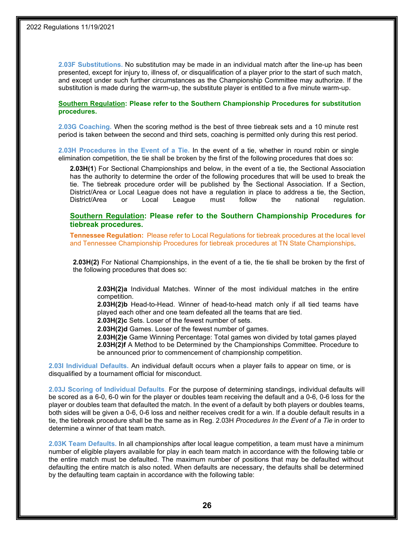**2.03F Substitutions.** No substitution may be made in an individual match after the line-up has been presented, except for injury to, illness of, or disqualification of a player prior to the start of such match, and except under such further circumstances as the Championship Committee may authorize. If the substitution is made during the warm-up, the substitute player is entitled to a five minute warm-up.

**Southern Regulation: Please refer to the Southern Championship Procedures for substitution procedures.** 

**2.03G Coaching.** When the scoring method is the best of three tiebreak sets and a 10 minute rest period is taken between the second and third sets, coaching is permitted only during this rest period.

**2.03H Procedures in the Event of a Tie.** In the event of a tie, whether in round robin or single elimination competition, the tie shall be broken by the first of the following procedures that does so:

**2.03H(1**) For Sectional Championships and below, in the event of a tie, the Sectional Association has the authority to determine the order of the following procedures that will be used to break the tie. The tiebreak procedure order will be published by the Sectional Association. If a Section, District/Area or Local League does not have a regulation in place to address a tie, the Section, District/Area or Local League must follow the national regulation.

**Southern Regulation: Please refer to the Southern Championship Procedures for tiebreak procedures.** 

**Tennessee Regulation:** Please refer to Local Regulations for tiebreak procedures at the local level and Tennessee Championship Procedures for tiebreak procedures at TN State Championships.

**2.03H(2)** For National Championships, in the event of a tie, the tie shall be broken by the first of the following procedures that does so:

**2.03H(2)a** Individual Matches. Winner of the most individual matches in the entire competition.

**2.03H(2)b** Head-to-Head. Winner of head-to-head match only if all tied teams have played each other and one team defeated all the teams that are tied.

**2.03H(2)c** Sets. Loser of the fewest number of sets.

**2.03H(2)d** Games. Loser of the fewest number of games.

**2.03H(2)e** Game Winning Percentage: Total games won divided by total games played **2.03H(2)f** A Method to be Determined by the Championships Committee. Procedure to be announced prior to commencement of championship competition.

**2.03I Individual Defaults.** An individual default occurs when a player fails to appear on time, or is disqualified by a tournament official for misconduct.

**2.03J Scoring of Individual Defaults**. For the purpose of determining standings, individual defaults will be scored as a 6-0, 6-0 win for the player or doubles team receiving the default and a 0-6, 0-6 loss for the player or doubles team that defaulted the match. In the event of a default by both players or doubles teams, both sides will be given a 0-6, 0-6 loss and neither receives credit for a win. If a double default results in a tie, the tiebreak procedure shall be the same as in Reg. 2.03H *Procedures In the Event of a Tie* in order to determine a winner of that team match.

**2.03K Team Defaults.** In all championships after local league competition, a team must have a minimum number of eligible players available for play in each team match in accordance with the following table or the entire match must be defaulted. The maximum number of positions that may be defaulted without defaulting the entire match is also noted. When defaults are necessary, the defaults shall be determined by the defaulting team captain in accordance with the following table: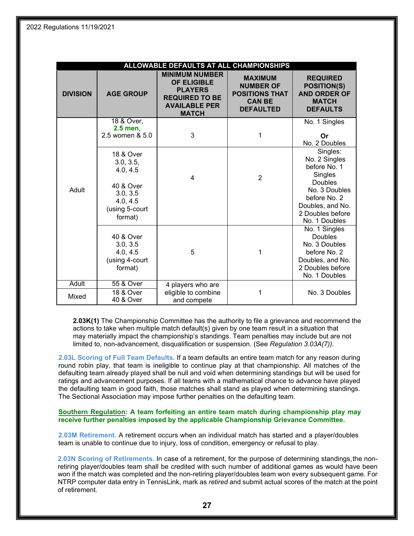| ALLOWABLE DEFAULTS AT ALL CHAMPIONSHIPS |                                                                                                      |                                                                                                                         |                                                                                                  |                                                                                                                                                                  |  |  |
|-----------------------------------------|------------------------------------------------------------------------------------------------------|-------------------------------------------------------------------------------------------------------------------------|--------------------------------------------------------------------------------------------------|------------------------------------------------------------------------------------------------------------------------------------------------------------------|--|--|
| <b>DIVISION</b>                         | <b>AGE GROUP</b>                                                                                     | <b>MINIMUM NUMBER</b><br>OF ELIGIBLE<br><b>PLAYERS</b><br><b>REQUIRED TO BE</b><br><b>AVAILABLE PER</b><br><b>MATCH</b> | <b>MAXIMUM</b><br><b>NUMBER OF</b><br><b>POSITIONS THAT</b><br><b>CAN BE</b><br><b>DEFAULTED</b> | <b>REQUIRED</b><br><b>POSITION(S)</b><br><b>AND ORDER OF</b><br><b>MATCH</b><br><b>DEFAULTS</b>                                                                  |  |  |
|                                         | 18 & Over,<br>2.5 men,<br>2.5 women & 5.0                                                            | 3                                                                                                                       | 1                                                                                                | No. 1 Singles<br>Or<br>No. 2 Doubles                                                                                                                             |  |  |
| Adult                                   | 18 & Over<br>3.0, 3.5,<br>4.0, 4.5<br>40 & Over<br>3.0, 3.5<br>4.0, 4.5<br>(using 5-court<br>format) | 4                                                                                                                       | $\overline{2}$                                                                                   | Singles:<br>No. 2 Singles<br>before No. 1<br>Singles<br><b>Doubles</b><br>No. 3 Doubles<br>before No. 2<br>Doubles, and No.<br>2 Doubles before<br>No. 1 Doubles |  |  |
|                                         | 40 & Over<br>3.0, 3.5<br>4.0, 4.5<br>(using 4-court<br>format)                                       | 5                                                                                                                       | 1                                                                                                | No. 1 Singles<br>Doubles<br>No. 3 Doubles<br>before No. 2<br>Doubles, and No.<br>2 Doubles before<br>No. 1 Doubles                                               |  |  |
| Adult                                   | 55 & Over                                                                                            | 4 players who are                                                                                                       |                                                                                                  |                                                                                                                                                                  |  |  |
| Mixed                                   | 18 & Over<br>40 & Over                                                                               | eligible to combine<br>and compete                                                                                      | 1                                                                                                | No. 3 Doubles                                                                                                                                                    |  |  |

**2.03K(1)** The Championship Committee has the authority to file a grievance and recommend the actions to take when multiple match default(s) given by one team result in a situation that may materially impact the championship's standings. Team penalties may include but are not limited to, non-advancement, disqualification or suspension. (See *Regulation 3.03A(7)).*

**2.03L Scoring of Full Team Defaults.** If a team defaults an entire team match for any reason during round robin play, that team is ineligible to continue play at that championship. All matches of the defaulting team already played shall be null and void when determining standings but will be used for ratings and advancement purposes. If all teams with a mathematical chance to advance have played the defaulting team in good faith, those matches shall stand as played when determining standings. The Sectional Association may impose further penalties on the defaulting team.

#### **Southern Regulation: A team forfeiting an entire team match during championship play may receive further penalties imposed by the applicable Championship Grievance Committee.**

**2.03M Retirement.** A retirement occurs when an individual match has started and a player/doubles team is unable to continue due to injury, loss of condition, emergency or refusal to play.

**2.03N Scoring of Retirements.** In case of a retirement, for the purpose of determining standings,the nonretiring player/doubles team shall be credited with such number of additional games as would have been won if the match was completed and the non-retiring player/doubles team won every subsequent game. For NTRP computer data entry in TennisLink, mark as *retired* and submit actual scores of the match at the point of retirement.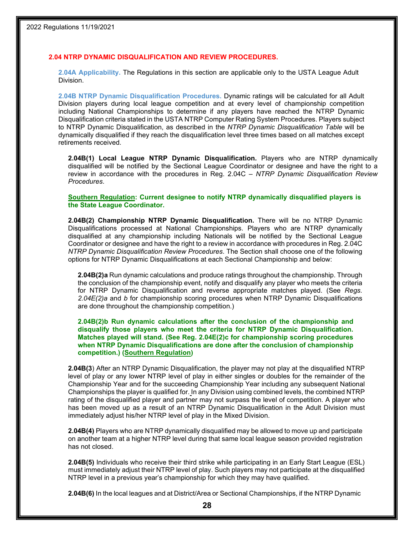#### **2.04 NTRP DYNAMIC DISQUALIFICATION AND REVIEW PROCEDURES.**

**2.04A Applicability.** The Regulations in this section are applicable only to the USTA League Adult Division.

**2.04B NTRP Dynamic Disqualification Procedures.** Dynamic ratings will be calculated for all Adult Division players during local league competition and at every level of championship competition including National Championships to determine if any players have reached the NTRP Dynamic Disqualification criteria stated in the USTA NTRP Computer Rating System Procedures. Players subject to NTRP Dynamic Disqualification, as described in the *NTRP Dynamic Disqualification Table* will be dynamically disqualified if they reach the disqualification level three times based on all matches except retirements received.

**2.04B(1) Local League NTRP Dynamic Disqualification.** Players who are NTRP dynamically disqualified will be notified by the Sectional League Coordinator or designee and have the right to a review in accordance with the procedures in Reg. 2.04C – *NTRP Dynamic Disqualification Review Procedures*.

**Southern Regulation: Current designee to notify NTRP dynamically disqualified players is the State League Coordinator.** 

**2.04B(2) Championship NTRP Dynamic Disqualification.** There will be no NTRP Dynamic Disqualifications processed at National Championships. Players who are NTRP dynamically disqualified at any championship including Nationals will be notified by the Sectional League Coordinator or designee and have the right to a review in accordance with procedures in Reg. 2.04C *NTRP Dynamic Disqualification Review Procedures*. The Section shall choose one of the following options for NTRP Dynamic Disqualifications at each Sectional Championship and below:

**2.04B(2)a** Run dynamic calculations and produce ratings throughout the championship. Through the conclusion of the championship event, notify and disqualify any player who meets the criteria for NTRP Dynamic Disqualification and reverse appropriate matches played. (See *Regs. 2.04E(2)a* and *b* for championship scoring procedures when NTRP Dynamic Disqualifications are done throughout the championship competition.)

**2.04B(2)b Run dynamic calculations after the conclusion of the championship and disqualify those players who meet the criteria for NTRP Dynamic Disqualification. Matches played will stand. (See Reg. 2.04E(2)c for championship scoring procedures when NTRP Dynamic Disqualifications are done after the conclusion of championship competition.) (Southern Regulation)**

**2.04B(3**) After an NTRP Dynamic Disqualification, the player may not play at the disqualified NTRP level of play or any lower NTRP level of play in either singles or doubles for the remainder of the Championship Year and for the succeeding Championship Year including any subsequent National Championships the player is qualified for. In any Division using combined levels, the combined NTRP rating of the disqualified player and partner may not surpass the level of competition. A player who has been moved up as a result of an NTRP Dynamic Disqualification in the Adult Division must immediately adjust his/her NTRP level of play in the Mixed Division.

**2.04B(4)** Players who are NTRP dynamically disqualified may be allowed to move up and participate on another team at a higher NTRP level during that same local league season provided registration has not closed.

**2.04B(5)** Individuals who receive their third strike while participating in an Early Start League (ESL) must immediately adjust their NTRP level of play. Such players may not participate at the disqualified NTRP level in a previous year's championship for which they may have qualified.

**2.04B(6)** In the local leagues and at District/Area or Sectional Championships, if the NTRP Dynamic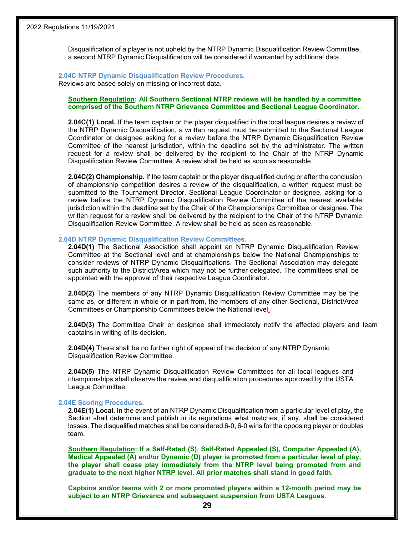Disqualification of a player is not upheld by the NTRP Dynamic Disqualification Review Committee, a second NTRP Dynamic Disqualification will be considered if warranted by additional data.

#### **2.04C NTRP Dynamic Disqualification Review Procedures.**

Reviews are based solely on missing or incorrect data.

#### **Southern Regulation: All Southern Sectional NTRP reviews will be handled by a committee comprised of the Southern NTRP Grievance Committee and Sectional League Coordinator.**

**2.04C(1) Local.** If the team captain or the player disqualified in the local league desires a review of the NTRP Dynamic Disqualification, a written request must be submitted to the Sectional League Coordinator or designee asking for a review before the NTRP Dynamic Disqualification Review Committee of the nearest jurisdiction, within the deadline set by the administrator. The written request for a review shall be delivered by the recipient to the Chair of the NTRP Dynamic Disqualification Review Committee. A review shall be held as soon as reasonable.

**2.04C(2) Championship.** If the team captain or the player disqualified during or after the conclusion of championship competition desires a review of the disqualification, a written request must be submitted to the Tournament Director, Sectional League Coordinator or designee, asking for a review before the NTRP Dynamic Disqualification Review Committee of the nearest available jurisdiction within the deadline set by the Chair of the Championships Committee or designee. The written request for a review shall be delivered by the recipient to the Chair of the NTRP Dynamic Disqualification Review Committee. A review shall be held as soon as reasonable.

#### **2.04D NTRP Dynamic Disqualification Review Committees.**

**2.04D(1)** The Sectional Association shall appoint an NTRP Dynamic Disqualification Review Committee at the Sectional level and at championships below the National Championships to consider reviews of NTRP Dynamic Disqualifications. The Sectional Association may delegate such authority to the District/Area which may not be further delegated. The committees shall be appointed with the approval of their respective League Coordinator.

**2.04D(2)** The members of any NTRP Dynamic Disqualification Review Committee may be the same as, or different in whole or in part from, the members of any other Sectional, District/Area Committees or Championship Committees below the National level.

**2.04D(3)** The Committee Chair or designee shall immediately notify the affected players and team captains in writing of its decision.

**2.04D(4)** There shall be no further right of appeal of the decision of any NTRP Dynamic Disqualification Review Committee.

**2.04D(5)** The NTRP Dynamic Disqualification Review Committees for all local leagues and championships shall observe the review and disqualification procedures approved by the USTA League Committee.

#### **2.04E Scoring Procedures.**

**2.04E(1) Local.** In the event of an NTRP Dynamic Disqualification from a particular level of play, the Section shall determine and publish in its regulations what matches, if any, shall be considered losses. The disqualified matches shall be considered 6-0, 6-0 wins for the opposing player or doubles team.

**Southern Regulation: If a Self-Rated (S), Self-Rated Appealed (S), Computer Appealed (A), Medical Appealed (A) and/or Dynamic (D) player is promoted from a particular level of play, the player shall cease play immediately from the NTRP level being promoted from and graduate to the next higher NTRP level. All prior matches shall stand in good faith.** 

**Captains and/or teams with 2 or more promoted players within a 12-month period may be subject to an NTRP Grievance and subsequent suspension from USTA Leagues.**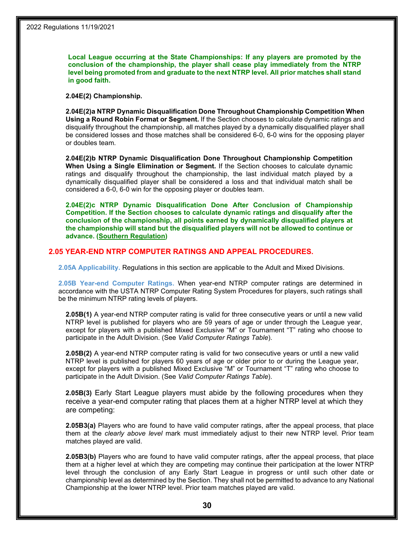**Local League occurring at the State Championships: If any players are promoted by the conclusion of the championship, the player shall cease play immediately from the NTRP level being promoted from and graduate to the next NTRP level. All prior matches shall stand in good faith.**

**2.04E(2) Championship.**

**2.04E(2)a NTRP Dynamic Disqualification Done Throughout Championship Competition When Using a Round Robin Format or Segment.** If the Section chooses to calculate dynamic ratings and disqualify throughout the championship, all matches played by a dynamically disqualified player shall be considered losses and those matches shall be considered 6-0, 6-0 wins for the opposing player or doubles team.

**2.04E(2)b NTRP Dynamic Disqualification Done Throughout Championship Competition When Using a Single Elimination or Segment.** If the Section chooses to calculate dynamic ratings and disqualify throughout the championship, the last individual match played by a dynamically disqualified player shall be considered a loss and that individual match shall be considered a 6-0, 6-0 win for the opposing player or doubles team.

**2.04E(2)c NTRP Dynamic Disqualification Done After Conclusion of Championship Competition. If the Section chooses to calculate dynamic ratings and disqualify after the conclusion of the championship, all points earned by dynamically disqualified players at the championship will stand but the disqualified players will not be allowed to continue or advance. (Southern Regulation)** 

#### **2.05 YEAR-END NTRP COMPUTER RATINGS AND APPEAL PROCEDURES.**

**2.05A Applicability.** Regulations in this section are applicable to the Adult and Mixed Divisions.

**2.05B Year-end Computer Ratings.** When year-end NTRP computer ratings are determined in accordance with the USTA NTRP Computer Rating System Procedures for players, such ratings shall be the minimum NTRP rating levels of players.

**2.05B(1)** A year-end NTRP computer rating is valid for three consecutive years or until a new valid NTRP level is published for players who are 59 years of age or under through the League year, except for players with a published Mixed Exclusive "M" or Tournament "T" rating who choose to participate in the Adult Division. (See *Valid Computer Ratings Table*).

**2.05B(2)** A year-end NTRP computer rating is valid for two consecutive years or until a new valid NTRP level is published for players 60 years of age or older prior to or during the League year, except for players with a published Mixed Exclusive "M" or Tournament "T" rating who choose to participate in the Adult Division. (See *Valid Computer Ratings Table*).

**2.05B(3)** Early Start League players must abide by the following procedures when they receive a year-end computer rating that places them at a higher NTRP level at which they are competing:

**2.05B3(a)** Players who are found to have valid computer ratings, after the appeal process, that place them at the *clearly above level* mark must immediately adjust to their new NTRP level. Prior team matches played are valid.

**2.05B3(b)** Players who are found to have valid computer ratings, after the appeal process, that place them at a higher level at which they are competing may continue their participation at the lower NTRP level through the conclusion of any Early Start League in progress or until such other date or championship level as determined by the Section. They shall not be permitted to advance to any National Championship at the lower NTRP level. Prior team matches played are valid.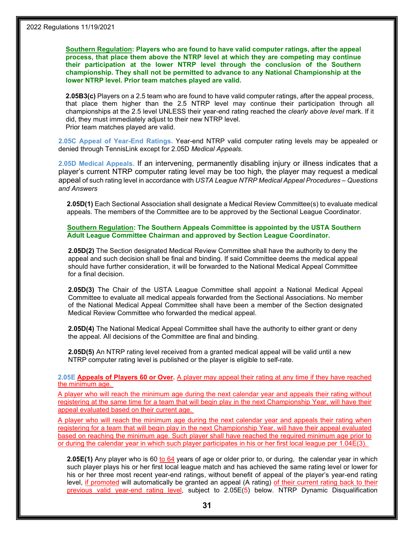**Southern Regulation: Players who are found to have valid computer ratings, after the appeal process, that place them above the NTRP level at which they are competing may continue their participation at the lower NTRP level through the conclusion of the Southern championship. They shall not be permitted to advance to any National Championship at the lower NTRP level. Prior team matches played are valid.**

**2.05B3(c)** Players on a 2.5 team who are found to have valid computer ratings, after the appeal process, that place them higher than the 2.5 NTRP level may continue their participation through all championships at the 2.5 level UNLESS their year-end rating reached the *clearly above level* mark. If it did, they must immediately adjust to their new NTRP level. Prior team matches played are valid.

**2.05C Appeal of Year-End Ratings.** Year-end NTRP valid computer rating levels may be appealed or denied through TennisLink except for 2.05D *Medical Appeals*.

**2.05D Medical Appeals.** If an intervening, permanently disabling injury or illness indicates that a player's current NTRP computer rating level may be too high, the player may request a medical appeal of such rating level in accordance with *USTA League NTRP Medical Appeal Procedures – Questions and Answers*

**2.05D(1)** Each Sectional Association shall designate a Medical Review Committee(s) to evaluate medical appeals. The members of the Committee are to be approved by the Sectional League Coordinator.

#### **Southern Regulation: The Southern Appeals Committee is appointed by the USTA Southern Adult League Committee Chairman and approved by Section League Coordinator.**

**2.05D(2)** The Section designated Medical Review Committee shall have the authority to deny the appeal and such decision shall be final and binding. If said Committee deems the medical appeal should have further consideration, it will be forwarded to the National Medical Appeal Committee for a final decision.

**2.05D(3)** The Chair of the USTA League Committee shall appoint a National Medical Appeal Committee to evaluate all medical appeals forwarded from the Sectional Associations. No member of the National Medical Appeal Committee shall have been a member of the Section designated Medical Review Committee who forwarded the medical appeal.

**2.05D(4)** The National Medical Appeal Committee shall have the authority to either grant or deny the appeal. All decisions of the Committee are final and binding.

**2.05D(5)** An NTRP rating level received from a granted medical appeal will be valid until a new NTRP computer rating level is published or the player is eligible to self-rate.

**2.05E Appeals of Players 60 or Over.** A player may appeal their rating at any time if they have reached the minimum age.

A player who will reach the minimum age during the next calendar year and appeals their rating without registering at the same time for a team that will begin play in the next Championship Year, will have their appeal evaluated based on their current age.

A player who will reach the minimum age during the next calendar year and appeals their rating when registering for a team that will begin play in the next Championship Year, will have their appeal evaluated based on reaching the minimum age. Such player shall have reached the required minimum age prior to or during the calendar year in which such player participates in his or her first local league per 1.04E(3).

2.05E(1) Any player who is 60 to 64 years of age or older prior to, or during, the calendar year in which such player plays his or her first local league match and has achieved the same rating level or lower for his or her three most recent year-end ratings, without benefit of appeal of the player's year-end rating level, if promoted will automatically be granted an appeal (A rating) of their current rating back to their previous valid year-end rating level, subject to 2.05E(5) below. NTRP Dynamic Disqualification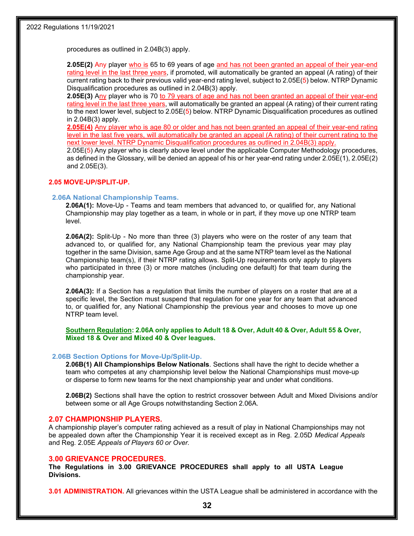procedures as outlined in 2.04B(3) apply.

**2.05E(2)** Any player who is 65 to 69 years of age and has not been granted an appeal of their year-end rating level in the last three years, if promoted, will automatically be granted an appeal (A rating) of their current rating back to their previous valid year-end rating level, subject to 2.05E(5) below. NTRP Dynamic Disqualification procedures as outlined in 2.04B(3) apply.

**2.05E(3)** Any player who is 70 to 79 years of age and has not been granted an appeal of their year-end rating level in the last three years, will automatically be granted an appeal (A rating) of their current rating to the next lower level, subject to 2.05E(5) below. NTRP Dynamic Disqualification procedures as outlined in 2.04B(3) apply.

**2.05E(4)** Any player who is age 80 or older and has not been granted an appeal of their year-end rating level in the last five years, will automatically be granted an appeal (A rating) of their current rating to the next lower level. NTRP Dynamic Disqualification procedures as outlined in 2.04B(3) apply.

2.05E(5) Any player who is clearly above level under the applicable Computer Methodology procedures, as defined in the Glossary, will be denied an appeal of his or her year-end rating under 2.05E(1), 2.05E(2) and 2.05E(3).

#### **2.05 MOVE-UP/SPLIT-UP.**

#### **2.06A National Championship Teams.**

**2.06A(1):** Move-Up - Teams and team members that advanced to, or qualified for, any National Championship may play together as a team, in whole or in part, if they move up one NTRP team level.

**2.06A(2):** Split-Up - No more than three (3) players who were on the roster of any team that advanced to, or qualified for, any National Championship team the previous year may play together in the same Division, same Age Group and at the same NTRP team level as the National Championship team(s), if their NTRP rating allows. Split-Up requirements only apply to players who participated in three (3) or more matches (including one default) for that team during the championship year.

**2.06A(3):** If a Section has a regulation that limits the number of players on a roster that are at a specific level, the Section must suspend that regulation for one year for any team that advanced to, or qualified for, any National Championship the previous year and chooses to move up one NTRP team level.

**Southern Regulation: 2.06A only applies to Adult 18 & Over, Adult 40 & Over, Adult 55 & Over, Mixed 18 & Over and Mixed 40 & Over leagues.** 

#### **2.06B Section Options for Move-Up/Split-Up.**

**2.06B(1) All Championships Below Nationals**. Sections shall have the right to decide whether a team who competes at any championship level below the National Championships must move-up or disperse to form new teams for the next championship year and under what conditions.

**2.06B(2)** Sections shall have the option to restrict crossover between Adult and Mixed Divisions and/or between some or all Age Groups notwithstanding Section 2.06A.

#### **2.07 CHAMPIONSHIP PLAYERS.**

A championship player's computer rating achieved as a result of play in National Championships may not be appealed down after the Championship Year it is received except as in Reg. 2.05D *Medical Appeals*  and Reg. 2.05E *Appeals of Players 60 or Over.*

#### **3.00 GRIEVANCE PROCEDURES.**

**The Regulations in 3.00 GRIEVANCE PROCEDURES shall apply to all USTA League Divisions.**

**3.01 ADMINISTRATION.** All grievances within the USTA League shall be administered in accordance with the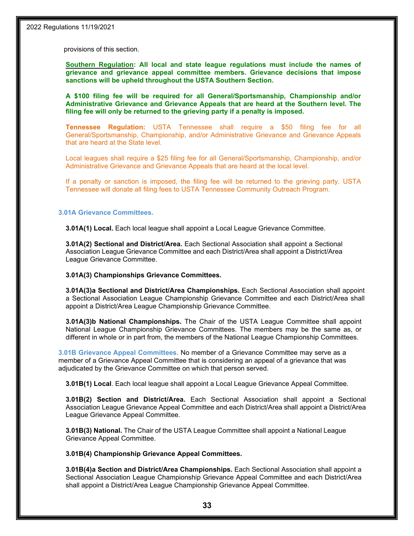provisions of this section.

**Southern Regulation: All local and state league regulations must include the names of grievance and grievance appeal committee members. Grievance decisions that impose sanctions will be upheld throughout the USTA Southern Section.**

**A \$100 filing fee will be required for all General/Sportsmanship, Championship and/or Administrative Grievance and Grievance Appeals that are heard at the Southern level. The filing fee will only be returned to the grieving party if a penalty is imposed.** 

**Tennessee Regulation:** USTA Tennessee shall require a \$50 filing fee for all General/Sportsmanship, Championship, and/or Administrative Grievance and Grievance Appeals that are heard at the State level.

Local leagues shall require a \$25 filing fee for all General/Sportsmanship, Championship, and/or Administrative Grievance and Grievance Appeals that are heard at the local level.

If a penalty or sanction is imposed, the filing fee will be returned to the grieving party. USTA Tennessee will donate all filing fees to USTA Tennessee Community Outreach Program.

#### **3.01A Grievance Committees.**

**3.01A(1) Local.** Each local league shall appoint a Local League Grievance Committee.

**3.01A(2) Sectional and District/Area.** Each Sectional Association shall appoint a Sectional Association League Grievance Committee and each District/Area shall appoint a District/Area League Grievance Committee.

#### **3.01A(3) Championships Grievance Committees.**

**3.01A(3)a Sectional and District/Area Championships.** Each Sectional Association shall appoint a Sectional Association League Championship Grievance Committee and each District/Area shall appoint a District/Area League Championship Grievance Committee.

**3.01A(3)b National Championships.** The Chair of the USTA League Committee shall appoint National League Championship Grievance Committees. The members may be the same as, or different in whole or in part from, the members of the National League Championship Committees.

**3.01B Grievance Appeal Committees.** No member of a Grievance Committee may serve as a member of a Grievance Appeal Committee that is considering an appeal of a grievance that was adjudicated by the Grievance Committee on which that person served.

**3.01B(1) Local**. Each local league shall appoint a Local League Grievance Appeal Committee.

**3.01B(2) Section and District/Area.** Each Sectional Association shall appoint a Sectional Association League Grievance Appeal Committee and each District/Area shall appoint a District/Area League Grievance Appeal Committee.

**3.01B(3) National.** The Chair of the USTA League Committee shall appoint a National League Grievance Appeal Committee.

#### **3.01B(4) Championship Grievance Appeal Committees.**

**3.01B(4)a Section and District/Area Championships.** Each Sectional Association shall appoint a Sectional Association League Championship Grievance Appeal Committee and each District/Area shall appoint a District/Area League Championship Grievance Appeal Committee.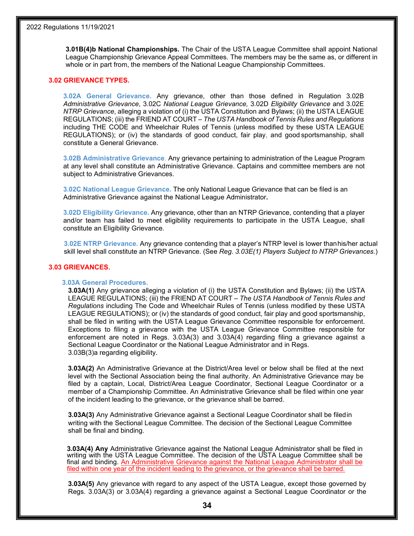**3.01B(4)b National Championships.** The Chair of the USTA League Committee shall appoint National League Championship Grievance Appeal Committees. The members may be the same as, or different in whole or in part from, the members of the National League Championship Committees.

#### **3.02 GRIEVANCE TYPES.**

**3.02A General Grievance.** Any grievance, other than those defined in Regulation 3.02B *Administrative Grievance*, 3.02C *National League Grievance,* 3.02D *Eligibility Grievance* and 3.02E *NTRP Grievance*, alleging a violation of (i) the USTA Constitution and Bylaws; (ii) the USTA LEAGUE REGULATIONS; (iii) the FRIEND AT COURT *– The USTA Handbook of Tennis Rules and Regulations*  including THE CODE and Wheelchair Rules of Tennis (unless modified by these USTA LEAGUE REGULATIONS); or (iv) the standards of good conduct, fair play, and good sportsmanship, shall constitute a General Grievance.

**3.02B Administrative Grievance**. Any grievance pertaining to administration of the League Program at any level shall constitute an Administrative Grievance. Captains and committee members are not subject to Administrative Grievances.

**3.02C National League Grievance.** The only National League Grievance that can be filed is an Administrative Grievance against the National League Administrator**.**

**3.02D Eligibility Grievance.** Any grievance, other than an NTRP Grievance, contending that a player and/or team has failed to meet eligibility requirements to participate in the USTA League, shall constitute an Eligibility Grievance.

**3.02E NTRP Grievance.** Any grievance contending that a player's NTRP level is lower thanhis/her actual skill level shall constitute an NTRP Grievance. (See *Reg. 3.03E(1) Players Subject to NTRP Grievances.*)

#### **3.03 GRIEVANCES.**

#### **3.03A General Procedures.**

**3.03A(1)** Any grievance alleging a violation of (i) the USTA Constitution and Bylaws; (ii) the USTA LEAGUE REGULATIONS; (iii) the FRIEND AT COURT *– The USTA Handbook of Tennis Rules and Regulations* including The Code and Wheelchair Rules of Tennis (unless modified by these USTA LEAGUE REGULATIONS); or (iv) the standards of good conduct, fair play and good sportsmanship, shall be filed in writing with the USTA League Grievance Committee responsible for enforcement. Exceptions to filing a grievance with the USTA League Grievance Committee responsible for enforcement are noted in Regs. 3.03A(3) and 3.03A(4) regarding filing a grievance against a Sectional League Coordinator or the National League Administrator and in Regs. 3.03B(3)a regarding eligibility.

**3.03A(2)** An Administrative Grievance at the District/Area level or below shall be filed at the next level with the Sectional Association being the final authority. An Administrative Grievance may be filed by a captain, Local, District/Area League Coordinator, Sectional League Coordinator or a member of a Championship Committee. An Administrative Grievance shall be filed within one year of the incident leading to the grievance, or the grievance shall be barred.

**3.03A(3)** Any Administrative Grievance against a Sectional League Coordinator shall be filedin writing with the Sectional League Committee. The decision of the Sectional League Committee shall be final and binding.

**3.03A(4) Any** Administrative Grievance against the National League Administrator shall be filed in writing with the USTA League Committee. The decision of the USTA League Committee shall be final and binding. An Administrative Grievance against the National League Administrator shall be filed within one year of the incident leading to the grievance, or the grievance shall be barred.

**3.03A(5)** Any grievance with regard to any aspect of the USTA League, except those governed by Regs. 3.03A(3) or 3.03A(4) regarding a grievance against a Sectional League Coordinator or the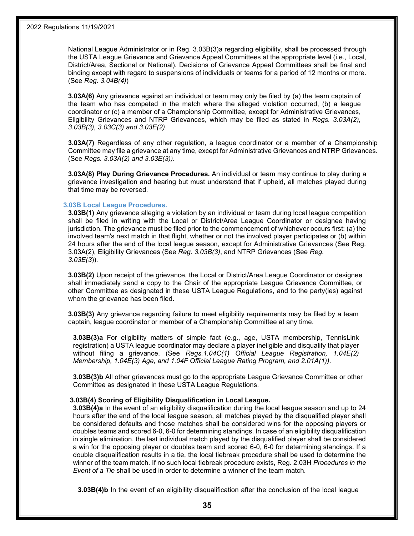National League Administrator or in Reg. 3.03B(3)a regarding eligibility, shall be processed through the USTA League Grievance and Grievance Appeal Committees at the appropriate level (i.e., Local, District/Area, Sectional or National). Decisions of Grievance Appeal Committees shall be final and binding except with regard to suspensions of individuals or teams for a period of 12 months or more. (See *Reg. 3.04B(4)*)

**3.03A(6)** Any grievance against an individual or team may only be filed by (a) the team captain of the team who has competed in the match where the alleged violation occurred, (b) a league coordinator or (c) a member of a Championship Committee, except for Administrative Grievances, Eligibility Grievances and NTRP Grievances, which may be filed as stated in *Regs. 3.03A(2), 3.03B(3), 3.03C(3) and 3.03E(2)*.

**3.03A(7)** Regardless of any other regulation, a league coordinator or a member of a Championship Committee may file a grievance at any time, except for Administrative Grievances and NTRP Grievances. (See *Regs. 3.03A(2) and 3.03E(3)).*

**3.03A(8) Play During Grievance Procedures.** An individual or team may continue to play during a grievance investigation and hearing but must understand that if upheld, all matches played during that time may be reversed.

#### **3.03B Local League Procedures.**

**3.03B(1)** Any grievance alleging a violation by an individual or team during local league competition shall be filed in writing with the Local or District/Area League Coordinator or designee having jurisdiction. The grievance must be filed prior to the commencement of whichever occurs first: (a) the involved team's next match in that flight, whether or not the involved player participates or (b) within 24 hours after the end of the local league season, except for Administrative Grievances (See Reg. 3.03A(2), Eligibility Grievances (See *Reg. 3.03B(3)*, and NTRP Grievances (See *Reg. 3.03E(3*)).

**3.03B(2)** Upon receipt of the grievance, the Local or District/Area League Coordinator or designee shall immediately send a copy to the Chair of the appropriate League Grievance Committee, or other Committee as designated in these USTA League Regulations, and to the party(ies) against whom the grievance has been filed.

**3.03B(3)** Any grievance regarding failure to meet eligibility requirements may be filed by a team captain, league coordinator or member of a Championship Committee at any time.

**3.03B(3)a** For eligibility matters of simple fact (e.g., age, USTA membership, TennisLink registration) a USTA league coordinator may declare a player ineligible and disqualify that player without filing a grievance. (See *Regs.1.04C(1) Official League Registration, 1.04E(2) Membership, 1.04E(3) Age, and 1.04F Official League Rating Program, and 2.01A(1))*.

**3.03B(3)b** All other grievances must go to the appropriate League Grievance Committee or other Committee as designated in these USTA League Regulations.

#### **3.03B(4) Scoring of Eligibility Disqualification in Local League.**

**3.03B(4)a** In the event of an eligibility disqualification during the local league season and up to 24 hours after the end of the local league season, all matches played by the disqualified player shall be considered defaults and those matches shall be considered wins for the opposing players or doubles teams and scored 6-0, 6-0 for determining standings. In case of an eligibility disqualification in single elimination, the last individual match played by the disqualified player shall be considered a win for the opposing player or doubles team and scored 6-0, 6-0 for determining standings. If a double disqualification results in a tie, the local tiebreak procedure shall be used to determine the winner of the team match. If no such local tiebreak procedure exists, Reg. 2.03H *Procedures in the Event of a Tie* shall be used in order to determine a winner of the team match.

**3.03B(4)b** In the event of an eligibility disqualification after the conclusion of the local league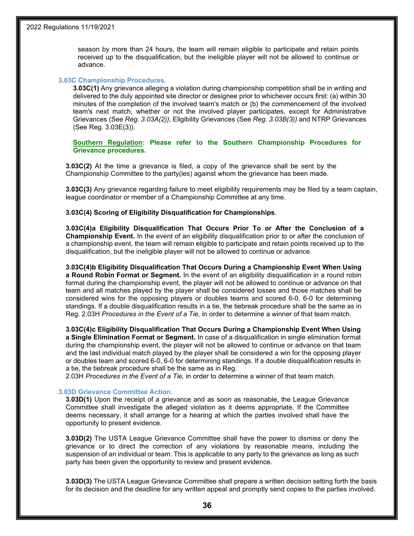season by more than 24 hours, the team will remain eligible to participate and retain points received up to the disqualification, but the ineligible player will not be allowed to continue or advance.

#### **3.03C Championship Procedures.**

**3.03C(1)** Any grievance alleging a violation during championship competition shall be in writing and delivered to the duly appointed site director or designee prior to whichever occurs first: (a) within 30 minutes of the completion of the involved team's match or (b) the commencement of the involved team's next match, whether or not the involved player participates, except for Administrative Grievances (See *Reg. 3.03A(2)),* Eligibility Grievances (See *Reg. 3.03B(3))* and NTRP Grievances (See Reg. 3.03E(3)).

**Southern Regulation: Please refer to the Southern Championship Procedures for Grievance procedures.** 

**3.03C(2)** At the time a grievance is filed, a copy of the grievance shall be sent by the Championship Committee to the party(ies) against whom the grievance has been made.

**3.03C(3)** Any grievance regarding failure to meet eligibility requirements may be filed by a team captain, league coordinator or member of a Championship Committee at any time.

#### **3.03C(4) Scoring of Eligibility Disqualification for Championships**.

**3.03C(4)a Eligibility Disqualification That Occurs Prior To or After the Conclusion of a Championship Event.** In the event of an eligibility disqualification prior to or after the conclusion of a championship event, the team will remain eligible to participate and retain points received up to the disqualification, but the ineligible player will not be allowed to continue or advance.

**3.03C(4)b Eligibility Disqualification That Occurs During a Championship Event When Using a Round Robin Format or Segment.** In the event of an eligibility disqualification in a round robin format during the championship event, the player will not be allowed to continue or advance on that team and all matches played by the player shall be considered losses and those matches shall be considered wins for the opposing players or doubles teams and scored 6-0, 6-0 for determining standings. If a double disqualification results in a tie, the tiebreak procedure shall be the same as in Reg. 2.03H *Procedures in the Event of a Tie,* in order to determine a winner of that team match.

**3.03C(4)c Eligibility Disqualification That Occurs During a Championship Event When Using a Single Elimination Format or Segment.** In case of a disqualification in single elimination format during the championship event, the player will not be allowed to continue or advance on that team and the last individual match played by the player shall be considered a win for the opposing player or doubles team and scored 6-0, 6-0 for determining standings. If a double disqualification results in a tie, the tiebreak procedure shall be the same as in Reg.

2.03H *Procedures in the Event of a Tie,* in order to determine a winner of that team match.

#### **3.03D Grievance Committee Action.**

**3.03D(1)** Upon the receipt of a grievance and as soon as reasonable, the League Grievance Committee shall investigate the alleged violation as it deems appropriate. If the Committee deems necessary, it shall arrange for a hearing at which the parties involved shall have the opportunity to present evidence.

**3.03D(2)** The USTA League Grievance Committee shall have the power to dismiss or deny the grievance or to direct the correction of any violations by reasonable means, including the suspension of an individual or team. This is applicable to any party to the grievance as long as such party has been given the opportunity to review and present evidence.

**3.03D(3)** The USTA League Grievance Committee shall prepare a written decision setting forth the basis for its decision and the deadline for any written appeal and promptly send copies to the parties involved.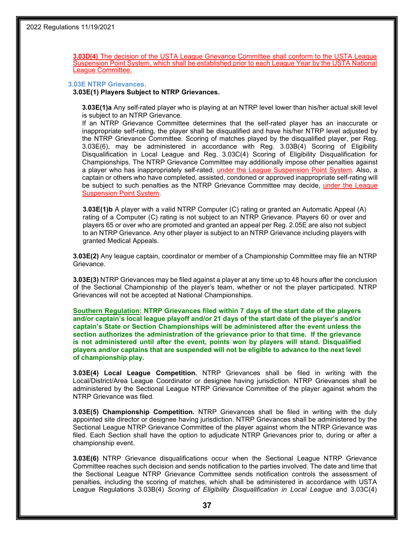**3.03D(4)** The decision of the USTA League Grievance Committee shall conform to the USTA League Suspension Point System, which shall be established prior to each League Year by the USTA National League Committee.

#### **3.03E NTRP Grievances.**

#### **3.03E(1) Players Subject to NTRP Grievances.**

**3.03E(1)a** Any self-rated player who is playing at an NTRP level lower than his/her actual skill level is subject to an NTRP Grievance.

If an NTRP Grievance Committee determines that the self-rated player has an inaccurate or inappropriate self-rating, the player shall be disqualified and have his/her NTRP level adjusted by the NTRP Grievance Committee. Scoring of matches played by the disqualified player, per Reg. 3.03E(6), may be administered in accordance with Reg. 3.03B(4) Scoring of Eligibility Disqualification in Local League and Reg. 3.03C(4) Scoring of Eligibility Disqualification for Championships. The NTRP Grievance Committee may additionally impose other penalties against a player who has inappropriately self-rated, under the League Suspension Point System. Also, a captain or others who have completed, assisted, condoned or approved inappropriate self-rating will be subject to such penalties as the NTRP Grievance Committee may decide, under the League Suspension Point System.

**3.03E(1)b** A player with a valid NTRP Computer (C) rating or granted an Automatic Appeal (A) rating of a Computer (C) rating is not subject to an NTRP Grievance. Players 60 or over and players 65 or over who are promoted and granted an appeal per Reg. 2.05E are also not subject to an NTRP Grievance. Any other player is subject to an NTRP Grievance including players with granted Medical Appeals.

**3.03E(2)** Any league captain, coordinator or member of a Championship Committee may file an NTRP Grievance.

**3.03E(3)** NTRP Grievances may be filed against a player at any time up to 48 hours after the conclusion of the Sectional Championship of the player's team, whether or not the player participated. NTRP Grievances will not be accepted at National Championships.

**Southern Regulation: NTRP Grievances filed within 7 days of the start date of the players and/or captain's local league playoff and/or 21 days of the start date of the player's and/or captain's State or Section Championships will be administered after the event unless the section authorizes the administration of the grievance prior to that time. If the grievance is not administered until after the event, points won by players will stand. Disqualified players and/or captains that are suspended will not be eligible to advance to the next level of championship play.**

**3.03E(4) Local League Competition.** NTRP Grievances shall be filed in writing with the Local/District/Area League Coordinator or designee having jurisdiction. NTRP Grievances shall be administered by the Sectional League NTRP Grievance Committee of the player against whom the NTRP Grievance was filed.

**3.03E(5) Championship Competition.** NTRP Grievances shall be filed in writing with the duly appointed site director or designee having jurisdiction. NTRP Grievances shall be administered by the Sectional League NTRP Grievance Committee of the player against whom the NTRP Grievance was filed. Each Section shall have the option to adjudicate NTRP Grievances prior to, during or after a championship event.

**3.03E(6)** NTRP Grievance disqualifications occur when the Sectional League NTRP Grievance Committee reaches such decision and sends notification to the parties involved. The date and time that the Sectional League NTRP Grievance Committee sends notification controls the assessment of penalties, including the scoring of matches, which shall be administered in accordance with USTA League Regulations 3.03B(4) *Scoring of Eligibility Disqualification in Local League* and 3.03C(4)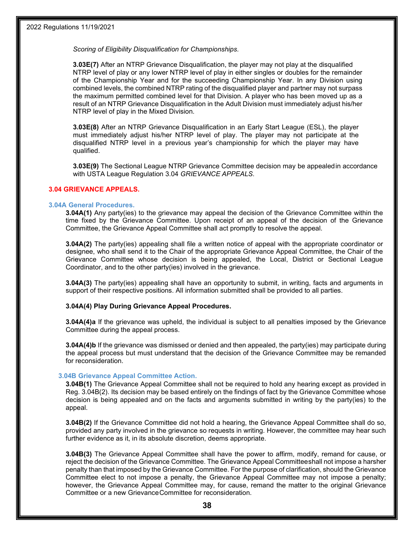*Scoring of Eligibility Disqualification for Championships.*

**3.03E(7)** After an NTRP Grievance Disqualification, the player may not play at the disqualified NTRP level of play or any lower NTRP level of play in either singles or doubles for the remainder of the Championship Year and for the succeeding Championship Year. In any Division using combined levels, the combined NTRP rating of the disqualified player and partner may not surpass the maximum permitted combined level for that Division. A player who has been moved up as a result of an NTRP Grievance Disqualification in the Adult Division must immediately adjust his/her NTRP level of play in the Mixed Division.

**3.03E(8)** After an NTRP Grievance Disqualification in an Early Start League (ESL), the player must immediately adjust his/her NTRP level of play. The player may not participate at the disqualified NTRP level in a previous year's championship for which the player may have qualified.

**3.03E(9)** The Sectional League NTRP Grievance Committee decision may be appealedin accordance with USTA League Regulation 3.04 *GRIEVANCE APPEALS*.

#### **3.04 GRIEVANCE APPEALS.**

#### **3.04A General Procedures.**

**3.04A(1)** Any party(ies) to the grievance may appeal the decision of the Grievance Committee within the time fixed by the Grievance Committee. Upon receipt of an appeal of the decision of the Grievance Committee, the Grievance Appeal Committee shall act promptly to resolve the appeal.

**3.04A(2)** The party(ies) appealing shall file a written notice of appeal with the appropriate coordinator or designee, who shall send it to the Chair of the appropriate Grievance Appeal Committee, the Chair of the Grievance Committee whose decision is being appealed, the Local, District or Sectional League Coordinator, and to the other party(ies) involved in the grievance.

**3.04A(3)** The party(ies) appealing shall have an opportunity to submit, in writing, facts and arguments in support of their respective positions. All information submitted shall be provided to all parties.

#### **3.04A(4) Play During Grievance Appeal Procedures.**

**3.04A(4)a** If the grievance was upheld, the individual is subject to all penalties imposed by the Grievance Committee during the appeal process.

**3.04A(4)b** If the grievance was dismissed or denied and then appealed, the party(ies) may participate during the appeal process but must understand that the decision of the Grievance Committee may be remanded for reconsideration.

#### **3.04B Grievance Appeal Committee Action.**

**3.04B(1)** The Grievance Appeal Committee shall not be required to hold any hearing except as provided in Reg. 3.04B(2). Its decision may be based entirely on the findings of fact by the Grievance Committee whose decision is being appealed and on the facts and arguments submitted in writing by the party(ies) to the appeal.

**3.04B(2)** If the Grievance Committee did not hold a hearing, the Grievance Appeal Committee shall do so, provided any party involved in the grievance so requests in writing. However, the committee may hear such further evidence as it, in its absolute discretion, deems appropriate.

**3.04B(3)** The Grievance Appeal Committee shall have the power to affirm, modify, remand for cause, or reject the decision of the Grievance Committee. The Grievance Appeal Committeeshall not impose a harsher penalty than that imposed by the Grievance Committee. For the purpose of clarification, should the Grievance Committee elect to not impose a penalty, the Grievance Appeal Committee may not impose a penalty; however, the Grievance Appeal Committee may, for cause, remand the matter to the original Grievance Committee or a new GrievanceCommittee for reconsideration.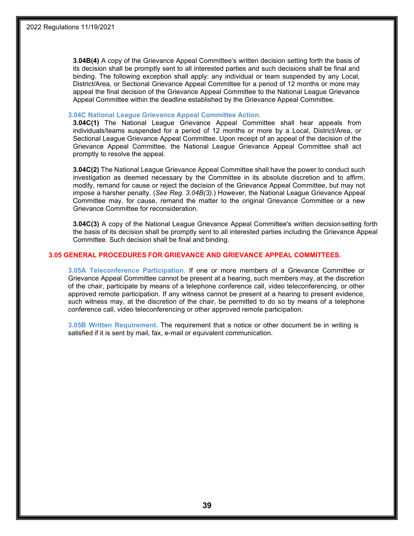**3.04B(4)** A copy of the Grievance Appeal Committee's written decision setting forth the basis of its decision shall be promptly sent to all interested parties and such decisions shall be final and binding. The following exception shall apply: any individual or team suspended by any Local, District/Area, or Sectional Grievance Appeal Committee for a period of 12 months or more may appeal the final decision of the Grievance Appeal Committee to the National League Grievance Appeal Committee within the deadline established by the Grievance Appeal Committee.

#### **3.04C National League Grievance Appeal Committee Action.**

**3.04C(1)** The National League Grievance Appeal Committee shall hear appeals from individuals/teams suspended for a period of 12 months or more by a Local, District/Area, or Sectional League Grievance Appeal Committee. Upon receipt of an appeal of the decision of the Grievance Appeal Committee, the National League Grievance Appeal Committee shall act promptly to resolve the appeal.

**3.04C(2)** The National League Grievance Appeal Committee shall have the power to conduct such investigation as deemed necessary by the Committee in its absolute discretion and to affirm, modify, remand for cause or reject the decision of the Grievance Appeal Committee, but may not impose a harsher penalty. (*See Reg. 3.04B(3)*.) However, the National League Grievance Appeal Committee may, for cause, remand the matter to the original Grievance Committee or a new Grievance Committee for reconsideration.

**3.04C(3)** A copy of the National League Grievance Appeal Committee's written decisionsetting forth the basis of its decision shall be promptly sent to all interested parties including the Grievance Appeal Committee. Such decision shall be final and binding.

#### **3.05 GENERAL PROCEDURES FOR GRIEVANCE AND GRIEVANCE APPEAL COMMITTEES.**

**3.05A Teleconference Participation.** If one or more members of a Grievance Committee or Grievance Appeal Committee cannot be present at a hearing, such members may, at the discretion of the chair, participate by means of a telephone conference call, video teleconferencing, or other approved remote participation. If any witness cannot be present at a hearing to present evidence, such witness may, at the discretion of the chair, be permitted to do so by means of a telephone conference call, video teleconferencing or other approved remote participation.

**3.05B Written Requirement.** The requirement that a notice or other document be in writing is satisfied if it is sent by mail, fax, e-mail or equivalent communication.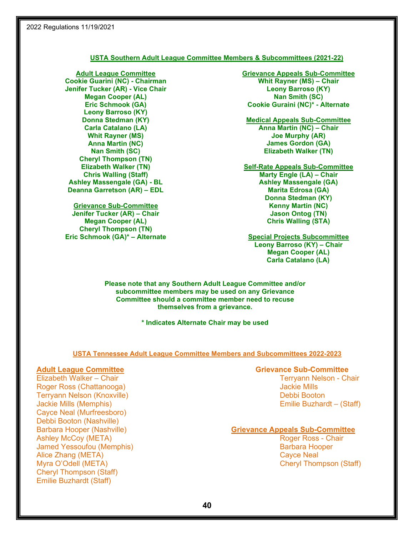#### **USTA Southern Adult League Committee Members & Subcommittees (2021-22)**

**Adult League Committee Cookie Guarini (NC) - Chairman Jenifer Tucker (AR) - Vice Chair Megan Cooper (AL) Eric Schmook (GA) Leony Barroso (KY) Donna Stedman (KY) Carla Catalano (LA) Whit Rayner (MS) Anna Martin (NC) Nan Smith (SC) Cheryl Thompson (TN) Elizabeth Walker (TN) Chris Walling (Staff) Ashley Massengale (GA) - BL Deanna Garretson (AR) – EDL**

**Grievance Sub-Committee Jenifer Tucker (AR) – Chair Megan Cooper (AL) Cheryl Thompson (TN) Eric Schmook (GA)\* – Alternate** **Grievance Appeals Sub-Committee Whit Rayner (MS) – Chair Leony Barroso (KY) Nan Smith (SC) Cookie Guraini (NC)\* - Alternate**

**Medical Appeals Sub-Committee Anna Martin (NC) – Chair Joe Murphy (AR) James Gordon (GA) Elizabeth Walker (TN)**

**Self-Rate Appeals Sub-Committee Marty Engle (LA) – Chair Ashley Massengale (GA) Marita Edrosa (GA) Donna Stedman (KY) Kenny Martin (NC) Jason Ontog (TN) Chris Walling (STA)**

**Special Projects Subcommittee Leony Barroso (KY) – Chair Megan Cooper (AL) Carla Catalano (LA)**

**Please note that any Southern Adult League Committee and/or subcommittee members may be used on any Grievance Committee should a committee member need to recuse themselves from a grievance.**

**\* Indicates Alternate Chair may be used**

#### **USTA Tennessee Adult League Committee Members and Subcommittees 2022-2023**

Elizabeth Walker – Chair Terryann Nelson - Chair Roger Ross (Chattanooga) and a state of the state of the state Mills Jackie Mills Terryann Nelson (Knoxville) Debbi Booton Jackie Mills (Memphis) Emilie Buzhardt – (Staff) Cayce Neal (Murfreesboro) Debbi Booton (Nashville) Ashley McCoy (META) Roger Ross - Chair Jamed Yessoufou (Memphis) Barbara Hooper Alice Zhang (META) Cayce Neal Myra O'Odell (META) Cheryl Thompson (Staff) Cheryl Thompson (Staff) Emilie Buzhardt (Staff)

#### **Adult League Committee Grievance Sub-Committee**

#### Barbara Hooper (Nashville) **Grievance Appeals Sub-Committee**

**40**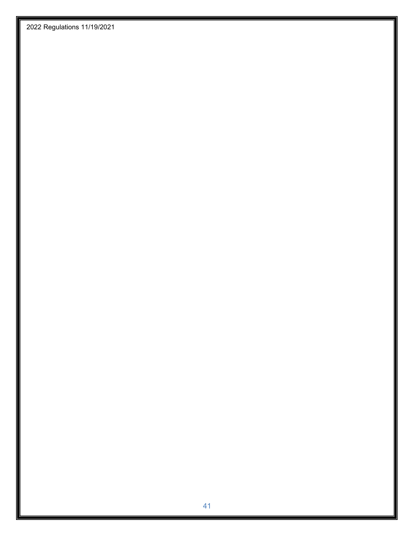Regulations 11/19/2021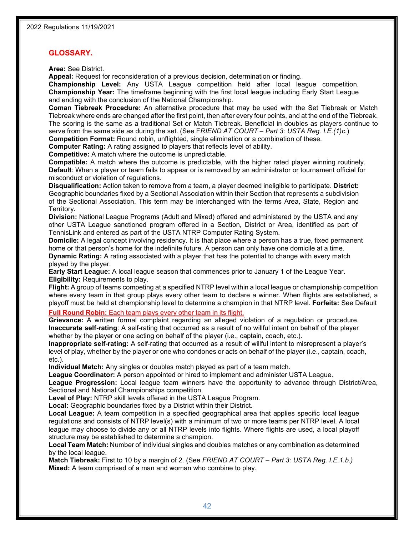#### **GLOSSARY.**

**Area:** See District.

**Appeal:** Request for reconsideration of a previous decision, determination or finding.

**Championship Level:** Any USTA League competition held after local league competition. **Championship Year:** The timeframe beginning with the first local league including Early Start League and ending with the conclusion of the National Championship.

**Coman Tiebreak Procedure:** An alternative procedure that may be used with the Set Tiebreak or Match Tiebreak where ends are changed after the first point, then after every four points, and at the end of the Tiebreak. The scoring is the same as a traditional Set or Match Tiebreak. Beneficial in doubles as players continue to serve from the same side as during the set. (See F*RIEND AT COURT – Part 3: USTA Reg. I.E.(1)c.*)

**Competition Format:** Round robin, unflighted, single elimination or a combination of these.

**Computer Rating:** A rating assigned to players that reflects level of ability.

**Competitive:** A match where the outcome is unpredictable.

**Compatible:** A match where the outcome is predictable, with the higher rated player winning routinely. **Default**: When a player or team fails to appear or is removed by an administrator or tournament official for misconduct or violation of regulations.

**Disqualification:** Action taken to remove from a team, a player deemed ineligible to participate. **District:**  Geographic boundaries fixed by a Sectional Association within their Section that represents a subdivision of the Sectional Association. This term may be interchanged with the terms Area, State, Region and Territory**.**

**Division:** National League Programs (Adult and Mixed) offered and administered by the USTA and any other USTA League sanctioned program offered in a Section, District or Area, identified as part of TennisLink and entered as part of the USTA NTRP Computer Rating System.

**Domicile:** A legal concept involving residency. It is that place where a person has a true, fixed permanent home or that person's home for the indefinite future. A person can only have one domicile at a time. **Dynamic Rating:** A rating associated with a player that has the potential to change with every match

played by the player.

**Early Start League:** A local league season that commences prior to January 1 of the League Year. **Eligibility:** Requirements to play.

**Flight:** A group of teams competing at a specified NTRP level within a local league or championship competition where every team in that group plays every other team to declare a winner. When flights are established, a playoff must be held at championship level to determine a champion in that NTRP level. **Forfeits:** See Default

**Full Round Robin:** Each team plays every other team in its flight.

**Grievance:** A written formal complaint regarding an alleged violation of a regulation or procedure. **Inaccurate self-rating**: A self-rating that occurred as a result of no willful intent on behalf of the player whether by the player or one acting on behalf of the player (i.e., captain, coach, etc.).

**Inappropriate self-rating:** A self-rating that occurred as a result of willful intent to misrepresent a player's level of play, whether by the player or one who condones or acts on behalf of the player (i.e., captain, coach, etc.).

**Individual Match:** Any singles or doubles match played as part of a team match.

**League Coordinator:** A person appointed or hired to implement and administer USTA League.

**League Progression:** Local league team winners have the opportunity to advance through District/Area, Sectional and National Championships competition.

**Level of Play:** NTRP skill levels offered in the USTA League Program.

**Local:** Geographic boundaries fixed by a District within their District.

**Local League:** A team competition in a specified geographical area that applies specific local league regulations and consists of NTRP level(s) with a minimum of two or more teams per NTRP level. A local league may choose to divide any or all NTRP levels into flights. Where flights are used, a local playoff structure may be established to determine a champion.

**Local Team Match:** Number of individual singles and doubles matches or any combination as determined by the local league.

**Match Tiebreak:** First to 10 by a margin of 2. (See *FRIEND AT COURT – Part 3: USTA Reg. I.E.1.b.)* **Mixed:** A team comprised of a man and woman who combine to play.